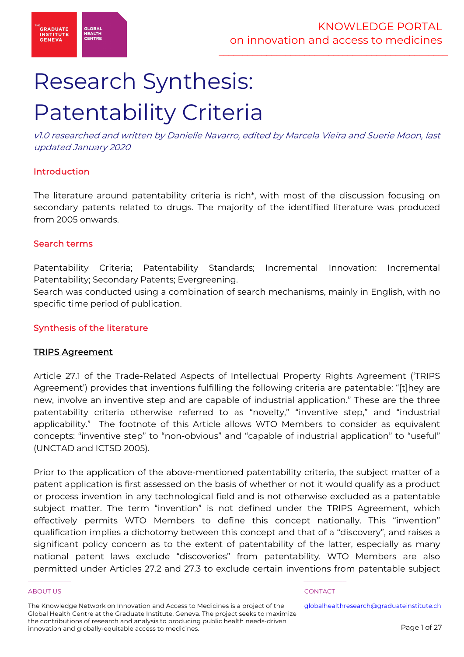

# Research Synthesis: Patentability Criteria

v1.0 researched and written by Danielle Navarro, edited by Marcela Vieira and Suerie Moon, last updated January 2020

# Introduction

The literature around patentability criteria is rich\*, with most of the discussion focusing on secondary patents related to drugs. The majority of the identified literature was produced from 2005 onwards.

# Search terms

Patentability Criteria; Patentability Standards; Incremental Innovation: Incremental Patentability; Secondary Patents; Evergreening.

Search was conducted using a combination of search mechanisms, mainly in English, with no specific time period of publication.

# Synthesis of the literature

# TRIPS Agreement

Article 27.1 of the Trade-Related Aspects of Intellectual Property Rights Agreement ('TRIPS Agreement') provides that inventions fulfilling the following criteria are patentable: "[t]hey are new, involve an inventive step and are capable of industrial application." These are the three patentability criteria otherwise referred to as "novelty," "inventive step," and "industrial applicability." The footnote of this Article allows WTO Members to consider as equivalent concepts: "inventive step" to "non-obvious" and "capable of industrial application" to "useful" (UNCTAD and ICTSD 2005).

Prior to the application of the above-mentioned patentability criteria, the subject matter of a patent application is first assessed on the basis of whether or not it would qualify as a product or process invention in any technological field and is not otherwise excluded as a patentable subject matter. The term "invention" is not defined under the TRIPS Agreement, which effectively permits WTO Members to define this concept nationally. This "invention" qualification implies a dichotomy between this concept and that of a "discovery", and raises a significant policy concern as to the extent of patentability of the latter, especially as many national patent laws exclude "discoveries" from patentability. WTO Members are also permitted under Articles 27.2 and 27.3 to exclude certain inventions from patentable subject

### ABOUT US ADOUT A SERVICE OF THE SERVICE OF THE SERVICE OF THE SERVICE OF THE SERVICE OF THE SERVICE OF THE SERVICE OF THE SERVICE OF THE SERVICE OF THE SERVICE OF THE SERVICE OF THE SERVICE OF THE SERVICE OF THE SERVICE OF

The Knowledge Network on Innovation and Access to Medicines is a project of the Global Health Centre at the Graduate Institute, Geneva. The project seeks to maximize the contributions of research and analysis to producing public health needs-driven innovation and globally-equitable access to medicines.

\_\_\_\_\_\_\_\_\_\_\_ \_\_\_\_\_\_\_\_\_\_\_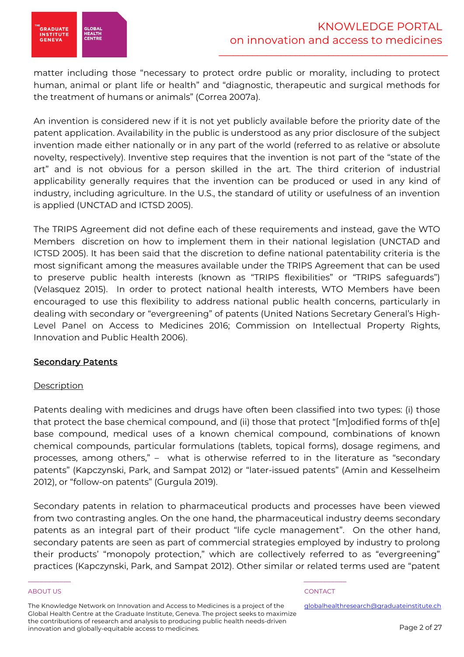

matter including those "necessary to protect ordre public or morality, including to protect human, animal or plant life or health" and "diagnostic, therapeutic and surgical methods for the treatment of humans or animals" (Correa 2007a).

An invention is considered new if it is not yet publicly available before the priority date of the patent application. Availability in the public is understood as any prior disclosure of the subject invention made either nationally or in any part of the world (referred to as relative or absolute novelty, respectively). Inventive step requires that the invention is not part of the "state of the art" and is not obvious for a person skilled in the art. The third criterion of industrial applicability generally requires that the invention can be produced or used in any kind of industry, including agriculture. In the U.S., the standard of utility or usefulness of an invention is applied (UNCTAD and ICTSD 2005).

The TRIPS Agreement did not define each of these requirements and instead, gave the WTO Members discretion on how to implement them in their national legislation (UNCTAD and ICTSD 2005). It has been said that the discretion to define national patentability criteria is the most significant among the measures available under the TRIPS Agreement that can be used to preserve public health interests (known as "TRIPS flexibilities" or "TRIPS safeguards") (Velasquez 2015). In order to protect national health interests, WTO Members have been encouraged to use this flexibility to address national public health concerns, particularly in dealing with secondary or "evergreening" of patents (United Nations Secretary General's High-Level Panel on Access to Medicines 2016; Commission on Intellectual Property Rights, Innovation and Public Health 2006).

# **Secondary Patents**

# **Description**

Patents dealing with medicines and drugs have often been classified into two types: (i) those that protect the base chemical compound, and (ii) those that protect "[m]odified forms of th[e] base compound, medical uses of a known chemical compound, combinations of known chemical compounds, particular formulations (tablets, topical forms), dosage regimens, and processes, among others," – what is otherwise referred to in the literature as "secondary patents" (Kapczynski, Park, and Sampat 2012) or "later-issued patents" (Amin and Kesselheim 2012), or "follow-on patents" (Gurgula 2019).

Secondary patents in relation to pharmaceutical products and processes have been viewed from two contrasting angles. On the one hand, the pharmaceutical industry deems secondary patents as an integral part of their product "life cycle management". On the other hand, secondary patents are seen as part of commercial strategies employed by industry to prolong their products' "monopoly protection," which are collectively referred to as "evergreening" practices (Kapczynski, Park, and Sampat 2012). Other similar or related terms used are "patent

### ABOUT US ADOUT A SERVICE OF THE SERVICE OF THE SERVICE OF THE SERVICE OF THE SERVICE OF THE SERVICE OF THE SERVICE OF THE SERVICE OF THE SERVICE OF THE SERVICE OF THE SERVICE OF THE SERVICE OF THE SERVICE OF THE SERVICE OF

The Knowledge Network on Innovation and Access to Medicines is a project of the Global Health Centre at the Graduate Institute, Geneva. The project seeks to maximize the contributions of research and analysis to producing public health needs-driven innovation and globally-equitable access to medicines.

\_\_\_\_\_\_\_\_\_\_\_ \_\_\_\_\_\_\_\_\_\_\_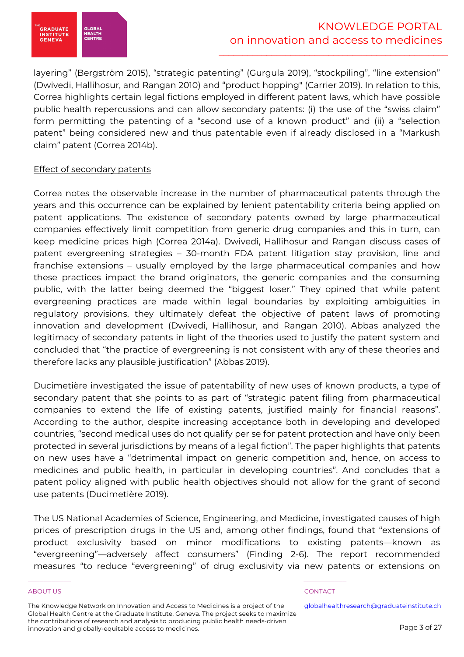

layering" (Bergström 2015), "strategic patenting" (Gurgula 2019), "stockpiling", "line extension" (Dwivedi, Hallihosur, and Rangan 2010) and "product hopping" (Carrier 2019). In relation to this, Correa highlights certain legal fictions employed in different patent laws, which have possible public health repercussions and can allow secondary patents: (i) the use of the "swiss claim" form permitting the patenting of a "second use of a known product" and (ii) a "selection patent" being considered new and thus patentable even if already disclosed in a "Markush claim" patent (Correa 2014b).

# Effect of secondary patents

Correa notes the observable increase in the number of pharmaceutical patents through the years and this occurrence can be explained by lenient patentability criteria being applied on patent applications. The existence of secondary patents owned by large pharmaceutical companies effectively limit competition from generic drug companies and this in turn, can keep medicine prices high (Correa 2014a). Dwivedi, Hallihosur and Rangan discuss cases of patent evergreening strategies – 30-month FDA patent litigation stay provision, line and franchise extensions – usually employed by the large pharmaceutical companies and how these practices impact the brand originators, the generic companies and the consuming public, with the latter being deemed the "biggest loser." They opined that while patent evergreening practices are made within legal boundaries by exploiting ambiguities in regulatory provisions, they ultimately defeat the objective of patent laws of promoting innovation and development (Dwivedi, Hallihosur, and Rangan 2010). Abbas analyzed the legitimacy of secondary patents in light of the theories used to justify the patent system and concluded that "the practice of evergreening is not consistent with any of these theories and therefore lacks any plausible justification" (Abbas 2019).

Ducimetière investigated the issue of patentability of new uses of known products, a type of secondary patent that she points to as part of "strategic patent filing from pharmaceutical companies to extend the life of existing patents, justified mainly for financial reasons". According to the author, despite increasing acceptance both in developing and developed countries, "second medical uses do not qualify per se for patent protection and have only been protected in several jurisdictions by means of a legal fiction". The paper highlights that patents on new uses have a "detrimental impact on generic competition and, hence, on access to medicines and public health, in particular in developing countries". And concludes that a patent policy aligned with public health objectives should not allow for the grant of second use patents (Ducimetière 2019).

The US National Academies of Science, Engineering, and Medicine, investigated causes of high prices of prescription drugs in the US and, among other findings, found that "extensions of product exclusivity based on minor modifications to existing patents—known as "evergreening"—adversely affect consumers" (Finding 2-6). The report recommended measures "to reduce "evergreening" of drug exclusivity via new patents or extensions on

### ABOUT US ADOUT A SERVICE OF THE SERVICE OF THE SERVICE OF THE SERVICE OF THE SERVICE OF THE SERVICE OF THE SERVICE OF THE SERVICE OF THE SERVICE OF THE SERVICE OF THE SERVICE OF THE SERVICE OF THE SERVICE OF THE SERVICE OF

The Knowledge Network on Innovation and Access to Medicines is a project of the Global Health Centre at the Graduate Institute, Geneva. The project seeks to maximize the contributions of research and analysis to producing public health needs-driven innovation and globally-equitable access to medicines.

\_\_\_\_\_\_\_\_\_\_\_ \_\_\_\_\_\_\_\_\_\_\_

globalhealthresearch@graduateinstitute.ch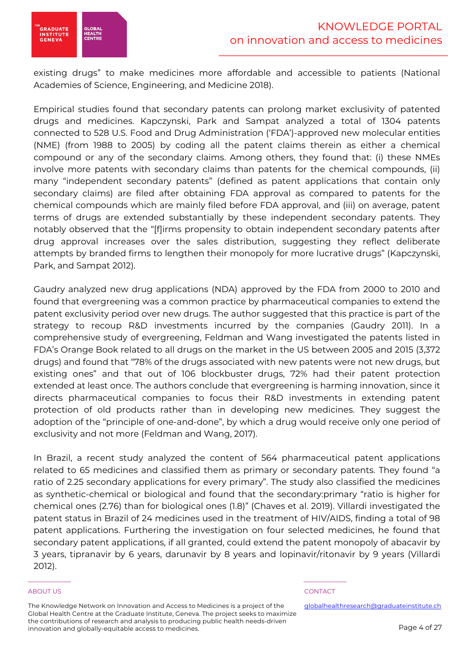

existing drugs" to make medicines more affordable and accessible to patients (National Academies of Science, Engineering, and Medicine 2018).

Empirical studies found that secondary patents can prolong market exclusivity of patented drugs and medicines. Kapczynski, Park and Sampat analyzed a total of 1304 patents connected to 528 U.S. Food and Drug Administration ('FDA')-approved new molecular entities (NME) (from 1988 to 2005) by coding all the patent claims therein as either a chemical compound or any of the secondary claims. Among others, they found that: (i) these NMEs involve more patents with secondary claims than patents for the chemical compounds, (ii) many "independent secondary patents" (defined as patent applications that contain only secondary claims) are filed after obtaining FDA approval as compared to patents for the chemical compounds which are mainly filed before FDA approval, and (iii) on average, patent terms of drugs are extended substantially by these independent secondary patents. They notably observed that the "[f]irms propensity to obtain independent secondary patents after drug approval increases over the sales distribution, suggesting they reflect deliberate attempts by branded firms to lengthen their monopoly for more lucrative drugs" (Kapczynski, Park, and Sampat 2012).

Gaudry analyzed new drug applications (NDA) approved by the FDA from 2000 to 2010 and found that evergreening was a common practice by pharmaceutical companies to extend the patent exclusivity period over new drugs. The author suggested that this practice is part of the strategy to recoup R&D investments incurred by the companies (Gaudry 2011). In a comprehensive study of evergreening, Feldman and Wang investigated the patents listed in FDA's Orange Book related to all drugs on the market in the US between 2005 and 2015 (3,372 drugs) and found that "78% of the drugs associated with new patents were not new drugs, but existing ones" and that out of 106 blockbuster drugs, 72% had their patent protection extended at least once. The authors conclude that evergreening is harming innovation, since it directs pharmaceutical companies to focus their R&D investments in extending patent protection of old products rather than in developing new medicines. They suggest the adoption of the "principle of one-and-done", by which a drug would receive only one period of exclusivity and not more (Feldman and Wang, 2017).

In Brazil, a recent study analyzed the content of 564 pharmaceutical patent applications related to 65 medicines and classified them as primary or secondary patents. They found "a ratio of 2.25 secondary applications for every primary". The study also classified the medicines as synthetic-chemical or biological and found that the secondary:primary "ratio is higher for chemical ones (2.76) than for biological ones (1.8)" (Chaves et al. 2019). Villardi investigated the patent status in Brazil of 24 medicines used in the treatment of HIV/AIDS, finding a total of 98 patent applications. Furthering the investigation on four selected medicines, he found that secondary patent applications, if all granted, could extend the patent monopoly of abacavir by 3 years, tipranavir by 6 years, darunavir by 8 years and lopinavir/ritonavir by 9 years (Villardi 2012).

### ABOUT US ADOUT A SERVICE OF THE SERVICE OF THE SERVICE OF THE SERVICE OF THE SERVICE OF THE SERVICE OF THE SERVICE OF THE SERVICE OF THE SERVICE OF THE SERVICE OF THE SERVICE OF THE SERVICE OF THE SERVICE OF THE SERVICE OF

The Knowledge Network on Innovation and Access to Medicines is a project of the Global Health Centre at the Graduate Institute, Geneva. The project seeks to maximize the contributions of research and analysis to producing public health needs-driven innovation and globally-equitable access to medicines.

\_\_\_\_\_\_\_\_\_\_\_ \_\_\_\_\_\_\_\_\_\_\_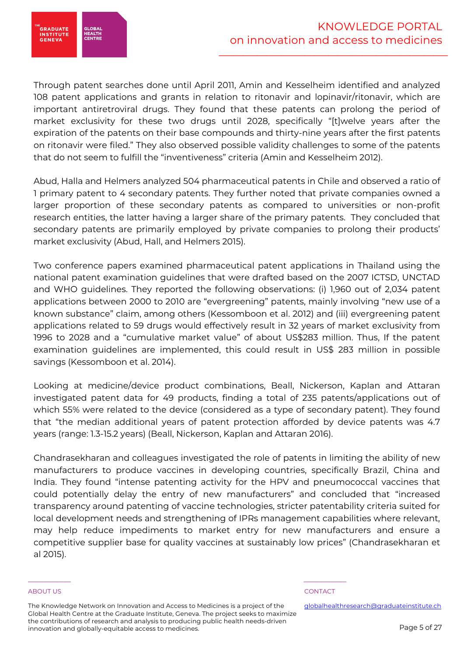

Through patent searches done until April 2011, Amin and Kesselheim identified and analyzed 108 patent applications and grants in relation to ritonavir and lopinavir/ritonavir, which are important antiretroviral drugs. They found that these patents can prolong the period of market exclusivity for these two drugs until 2028, specifically "[t]welve years after the expiration of the patents on their base compounds and thirty-nine years after the first patents on ritonavir were filed." They also observed possible validity challenges to some of the patents that do not seem to fulfill the "inventiveness" criteria (Amin and Kesselheim 2012).

Abud, Halla and Helmers analyzed 504 pharmaceutical patents in Chile and observed a ratio of 1 primary patent to 4 secondary patents. They further noted that private companies owned a larger proportion of these secondary patents as compared to universities or non-profit research entities, the latter having a larger share of the primary patents. They concluded that secondary patents are primarily employed by private companies to prolong their products' market exclusivity (Abud, Hall, and Helmers 2015).

Two conference papers examined pharmaceutical patent applications in Thailand using the national patent examination guidelines that were drafted based on the 2007 ICTSD, UNCTAD and WHO guidelines. They reported the following observations: (i) 1,960 out of 2,034 patent applications between 2000 to 2010 are "evergreening" patents, mainly involving "new use of a known substance" claim, among others (Kessomboon et al. 2012) and (iii) evergreening patent applications related to 59 drugs would effectively result in 32 years of market exclusivity from 1996 to 2028 and a "cumulative market value" of about US\$283 million. Thus, If the patent examination guidelines are implemented, this could result in US\$ 283 million in possible savings (Kessomboon et al. 2014).

Looking at medicine/device product combinations, Beall, Nickerson, Kaplan and Attaran investigated patent data for 49 products, finding a total of 235 patents/applications out of which 55% were related to the device (considered as a type of secondary patent). They found that "the median additional years of patent protection afforded by device patents was 4.7 years (range: 1.3-15.2 years) (Beall, Nickerson, Kaplan and Attaran 2016).

Chandrasekharan and colleagues investigated the role of patents in limiting the ability of new manufacturers to produce vaccines in developing countries, specifically Brazil, China and India. They found "intense patenting activity for the HPV and pneumococcal vaccines that could potentially delay the entry of new manufacturers" and concluded that "increased transparency around patenting of vaccine technologies, stricter patentability criteria suited for local development needs and strengthening of IPRs management capabilities where relevant, may help reduce impediments to market entry for new manufacturers and ensure a competitive supplier base for quality vaccines at sustainably low prices" (Chandrasekharan et al 2015).

### ABOUT US ADOUT A SERVICE OF THE SERVICE OF THE SERVICE OF THE SERVICE OF THE SERVICE OF THE SERVICE OF THE SERVICE OF THE SERVICE OF THE SERVICE OF THE SERVICE OF THE SERVICE OF THE SERVICE OF THE SERVICE OF THE SERVICE OF

The Knowledge Network on Innovation and Access to Medicines is a project of the Global Health Centre at the Graduate Institute, Geneva. The project seeks to maximize the contributions of research and analysis to producing public health needs-driven innovation and globally-equitable access to medicines.

\_\_\_\_\_\_\_\_\_\_\_ \_\_\_\_\_\_\_\_\_\_\_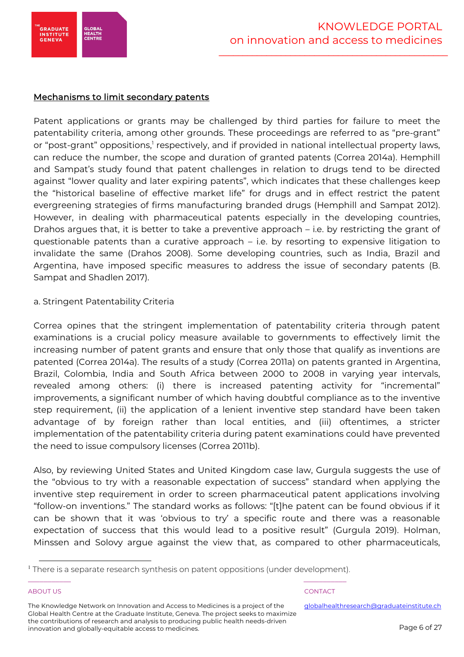

# Mechanisms to limit secondary patents

Patent applications or grants may be challenged by third parties for failure to meet the patentability criteria, among other grounds. These proceedings are referred to as "pre-grant" or "post-grant" oppositions,' respectively, and if provided in national intellectual property laws, can reduce the number, the scope and duration of granted patents (Correa 2014a). Hemphill and Sampat's study found that patent challenges in relation to drugs tend to be directed against "lower quality and later expiring patents", which indicates that these challenges keep the "historical baseline of effective market life" for drugs and in effect restrict the patent evergreening strategies of firms manufacturing branded drugs (Hemphill and Sampat 2012). However, in dealing with pharmaceutical patents especially in the developing countries, Drahos argues that, it is better to take a preventive approach – i.e. by restricting the grant of questionable patents than a curative approach – i.e. by resorting to expensive litigation to invalidate the same (Drahos 2008). Some developing countries, such as India, Brazil and Argentina, have imposed specific measures to address the issue of secondary patents (B. Sampat and Shadlen 2017).

# a. Stringent Patentability Criteria

Correa opines that the stringent implementation of patentability criteria through patent examinations is a crucial policy measure available to governments to effectively limit the increasing number of patent grants and ensure that only those that qualify as inventions are patented (Correa 2014a). The results of a study (Correa 2011a) on patents granted in Argentina, Brazil, Colombia, India and South Africa between 2000 to 2008 in varying year intervals, revealed among others: (i) there is increased patenting activity for "incremental" improvements, a significant number of which having doubtful compliance as to the inventive step requirement, (ii) the application of a lenient inventive step standard have been taken advantage of by foreign rather than local entities, and (iii) oftentimes, a stricter implementation of the patentability criteria during patent examinations could have prevented the need to issue compulsory licenses (Correa 2011b).

Also, by reviewing United States and United Kingdom case law, Gurgula suggests the use of the "obvious to try with a reasonable expectation of success" standard when applying the inventive step requirement in order to screen pharmaceutical patent applications involving "follow-on inventions." The standard works as follows: "[t]he patent can be found obvious if it can be shown that it was 'obvious to try' a specific route and there was a reasonable expectation of success that this would lead to a positive result" (Gurgula 2019). Holman, Minssen and Solovy argue against the view that, as compared to other pharmaceuticals,

### ABOUT US ADOUT A SERVICE OF THE SERVICE OF THE SERVICE OF THE SERVICE OF THE SERVICE OF THE SERVICE OF THE SERVICE OF THE SERVICE OF THE SERVICE OF THE SERVICE OF THE SERVICE OF THE SERVICE OF THE SERVICE OF THE SERVICE OF

The Knowledge Network on Innovation and Access to Medicines is a project of the Global Health Centre at the Graduate Institute, Geneva. The project seeks to maximize the contributions of research and analysis to producing public health needs-driven innovation and globally-equitable access to medicines.

\_\_\_\_\_\_\_\_\_\_\_ \_\_\_\_\_\_\_\_\_\_\_ <sup>1</sup> There is a separate research synthesis on patent oppositions (under development).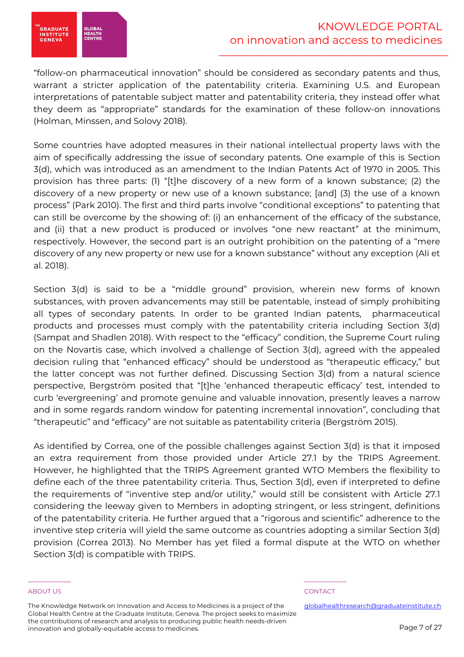

"follow-on pharmaceutical innovation" should be considered as secondary patents and thus, warrant a stricter application of the patentability criteria. Examining U.S. and European interpretations of patentable subject matter and patentability criteria, they instead offer what they deem as "appropriate" standards for the examination of these follow-on innovations (Holman, Minssen, and Solovy 2018).

Some countries have adopted measures in their national intellectual property laws with the aim of specifically addressing the issue of secondary patents. One example of this is Section 3(d), which was introduced as an amendment to the Indian Patents Act of 1970 in 2005. This provision has three parts: (1) "[t]he discovery of a new form of a known substance; (2) the discovery of a new property or new use of a known substance; [and] (3) the use of a known process" (Park 2010). The first and third parts involve "conditional exceptions" to patenting that can still be overcome by the showing of: (i) an enhancement of the efficacy of the substance, and (ii) that a new product is produced or involves "one new reactant" at the minimum, respectively. However, the second part is an outright prohibition on the patenting of a "mere discovery of any new property or new use for a known substance" without any exception (Ali et al. 2018).

Section 3(d) is said to be a "middle ground" provision, wherein new forms of known substances, with proven advancements may still be patentable, instead of simply prohibiting all types of secondary patents. In order to be granted Indian patents, pharmaceutical products and processes must comply with the patentability criteria including Section 3(d) (Sampat and Shadlen 2018). With respect to the "efficacy" condition, the Supreme Court ruling on the Novartis case, which involved a challenge of Section 3(d), agreed with the appealed decision ruling that "enhanced efficacy" should be understood as "therapeutic efficacy," but the latter concept was not further defined. Discussing Section 3(d) from a natural science perspective, Bergström posited that "[t]he 'enhanced therapeutic efficacy' test, intended to curb 'evergreening' and promote genuine and valuable innovation, presently leaves a narrow and in some regards random window for patenting incremental innovation", concluding that "therapeutic" and "efficacy" are not suitable as patentability criteria (Bergström 2015).

As identified by Correa, one of the possible challenges against Section 3(d) is that it imposed an extra requirement from those provided under Article 27.1 by the TRIPS Agreement. However, he highlighted that the TRIPS Agreement granted WTO Members the flexibility to define each of the three patentability criteria. Thus, Section 3(d), even if interpreted to define the requirements of "inventive step and/or utility," would still be consistent with Article 27.1 considering the leeway given to Members in adopting stringent, or less stringent, definitions of the patentability criteria. He further argued that a "rigorous and scientific" adherence to the inventive step criteria will yield the same outcome as countries adopting a similar Section 3(d) provision (Correa 2013). No Member has yet filed a formal dispute at the WTO on whether Section 3(d) is compatible with TRIPS.

### ABOUT US ADOUT A SERVICE OF THE SERVICE OF THE SERVICE OF THE SERVICE OF THE SERVICE OF THE SERVICE OF THE SERVICE OF THE SERVICE OF THE SERVICE OF THE SERVICE OF THE SERVICE OF THE SERVICE OF THE SERVICE OF THE SERVICE OF

The Knowledge Network on Innovation and Access to Medicines is a project of the Global Health Centre at the Graduate Institute, Geneva. The project seeks to maximize the contributions of research and analysis to producing public health needs-driven innovation and globally-equitable access to medicines.

\_\_\_\_\_\_\_\_\_\_\_ \_\_\_\_\_\_\_\_\_\_\_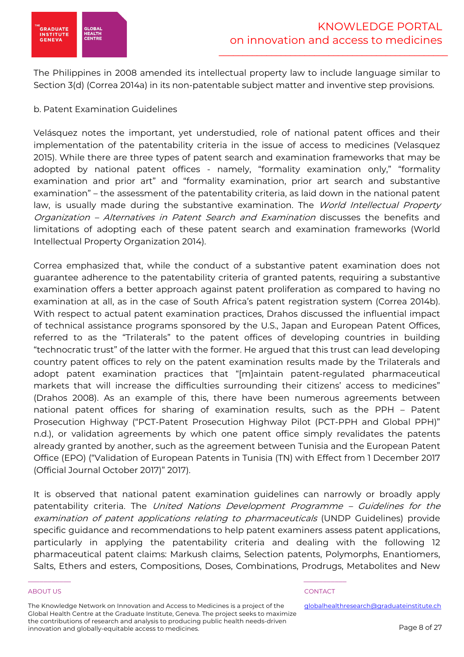

The Philippines in 2008 amended its intellectual property law to include language similar to Section 3(d) (Correa 2014a) in its non-patentable subject matter and inventive step provisions.

# b. Patent Examination Guidelines

Velásquez notes the important, yet understudied, role of national patent offices and their implementation of the patentability criteria in the issue of access to medicines (Velasquez 2015). While there are three types of patent search and examination frameworks that may be adopted by national patent offices - namely, "formality examination only," "formality examination and prior art" and "formality examination, prior art search and substantive examination" – the assessment of the patentability criteria, as laid down in the national patent law, is usually made during the substantive examination. The World Intellectual Property Organization – Alternatives in Patent Search and Examination discusses the benefits and limitations of adopting each of these patent search and examination frameworks (World Intellectual Property Organization 2014).

Correa emphasized that, while the conduct of a substantive patent examination does not guarantee adherence to the patentability criteria of granted patents, requiring a substantive examination offers a better approach against patent proliferation as compared to having no examination at all, as in the case of South Africa's patent registration system (Correa 2014b). With respect to actual patent examination practices, Drahos discussed the influential impact of technical assistance programs sponsored by the U.S., Japan and European Patent Offices, referred to as the "Trilaterals" to the patent offices of developing countries in building "technocratic trust" of the latter with the former. He argued that this trust can lead developing country patent offices to rely on the patent examination results made by the Trilaterals and adopt patent examination practices that "[m]aintain patent-regulated pharmaceutical markets that will increase the difficulties surrounding their citizens' access to medicines" (Drahos 2008). As an example of this, there have been numerous agreements between national patent offices for sharing of examination results, such as the PPH – Patent Prosecution Highway ("PCT-Patent Prosecution Highway Pilot (PCT-PPH and Global PPH)" n.d.), or validation agreements by which one patent office simply revalidates the patents already granted by another, such as the agreement between Tunisia and the European Patent Office (EPO) ("Validation of European Patents in Tunisia (TN) with Effect from 1 December 2017 (Official Journal October 2017)" 2017).

It is observed that national patent examination guidelines can narrowly or broadly apply patentability criteria. The United Nations Development Programme - Guidelines for the examination of patent applications relating to pharmaceuticals (UNDP Guidelines) provide specific guidance and recommendations to help patent examiners assess patent applications, particularly in applying the patentability criteria and dealing with the following 12 pharmaceutical patent claims: Markush claims, Selection patents, Polymorphs, Enantiomers, Salts, Ethers and esters, Compositions, Doses, Combinations, Prodrugs, Metabolites and New

### ABOUT US ADOUT A SERVICE OF THE SERVICE OF THE SERVICE OF THE SERVICE OF THE SERVICE OF THE SERVICE OF THE SERVICE OF THE SERVICE OF THE SERVICE OF THE SERVICE OF THE SERVICE OF THE SERVICE OF THE SERVICE OF THE SERVICE OF

The Knowledge Network on Innovation and Access to Medicines is a project of the Global Health Centre at the Graduate Institute, Geneva. The project seeks to maximize the contributions of research and analysis to producing public health needs-driven innovation and globally-equitable access to medicines.

\_\_\_\_\_\_\_\_\_\_\_ \_\_\_\_\_\_\_\_\_\_\_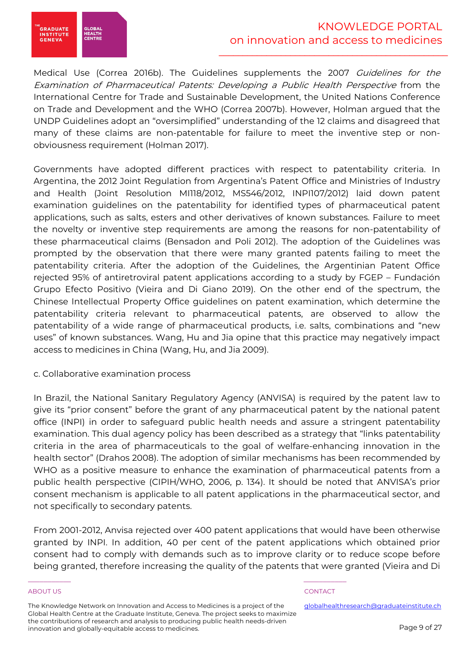

Medical Use (Correa 2016b). The Guidelines supplements the 2007 Guidelines for the Examination of Pharmaceutical Patents: Developing a Public Health Perspective from the International Centre for Trade and Sustainable Development, the United Nations Conference on Trade and Development and the WHO (Correa 2007b). However, Holman argued that the UNDP Guidelines adopt an "oversimplified" understanding of the 12 claims and disagreed that many of these claims are non-patentable for failure to meet the inventive step or nonobviousness requirement (Holman 2017).

Governments have adopted different practices with respect to patentability criteria. In Argentina, the 2012 Joint Regulation from Argentina's Patent Office and Ministries of Industry and Health (Joint Resolution MI118/2012, MS546/2012, INPI107/2012) laid down patent examination guidelines on the patentability for identified types of pharmaceutical patent applications, such as salts, esters and other derivatives of known substances. Failure to meet the novelty or inventive step requirements are among the reasons for non-patentability of these pharmaceutical claims (Bensadon and Poli 2012). The adoption of the Guidelines was prompted by the observation that there were many granted patents failing to meet the patentability criteria. After the adoption of the Guidelines, the Argentinian Patent Office rejected 95% of antiretroviral patent applications according to a study by FGEP – Fundación Grupo Efecto Positivo (Vieira and Di Giano 2019). On the other end of the spectrum, the Chinese Intellectual Property Office guidelines on patent examination, which determine the patentability criteria relevant to pharmaceutical patents, are observed to allow the patentability of a wide range of pharmaceutical products, i.e. salts, combinations and "new uses" of known substances. Wang, Hu and Jia opine that this practice may negatively impact access to medicines in China (Wang, Hu, and Jia 2009).

# c. Collaborative examination process

In Brazil, the National Sanitary Regulatory Agency (ANVISA) is required by the patent law to give its "prior consent" before the grant of any pharmaceutical patent by the national patent office (INPI) in order to safeguard public health needs and assure a stringent patentability examination. This dual agency policy has been described as a strategy that "links patentability criteria in the area of pharmaceuticals to the goal of welfare-enhancing innovation in the health sector" (Drahos 2008). The adoption of similar mechanisms has been recommended by WHO as a positive measure to enhance the examination of pharmaceutical patents from a public health perspective (CIPIH/WHO, 2006, p. 134). It should be noted that ANVISA's prior consent mechanism is applicable to all patent applications in the pharmaceutical sector, and not specifically to secondary patents.

From 2001-2012, Anvisa rejected over 400 patent applications that would have been otherwise granted by INPI. In addition, 40 per cent of the patent applications which obtained prior consent had to comply with demands such as to improve clarity or to reduce scope before being granted, therefore increasing the quality of the patents that were granted (Vieira and Di

### ABOUT US ADOUT A SERVICE OF THE SERVICE OF THE SERVICE OF THE SERVICE OF THE SERVICE OF THE SERVICE OF THE SERVICE OF THE SERVICE OF THE SERVICE OF THE SERVICE OF THE SERVICE OF THE SERVICE OF THE SERVICE OF THE SERVICE OF

The Knowledge Network on Innovation and Access to Medicines is a project of the Global Health Centre at the Graduate Institute, Geneva. The project seeks to maximize the contributions of research and analysis to producing public health needs-driven innovation and globally-equitable access to medicines.

\_\_\_\_\_\_\_\_\_\_\_ \_\_\_\_\_\_\_\_\_\_\_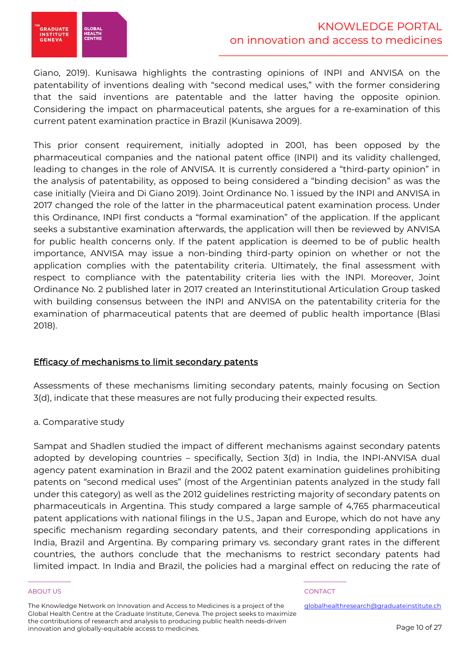

Giano, 2019). Kunisawa highlights the contrasting opinions of INPI and ANVISA on the patentability of inventions dealing with "second medical uses," with the former considering that the said inventions are patentable and the latter having the opposite opinion. Considering the impact on pharmaceutical patents, she argues for a re-examination of this current patent examination practice in Brazil (Kunisawa 2009).

This prior consent requirement, initially adopted in 2001, has been opposed by the pharmaceutical companies and the national patent office (INPI) and its validity challenged, leading to changes in the role of ANVISA. It is currently considered a "third-party opinion" in the analysis of patentability, as opposed to being considered a "binding decision" as was the case initially (Vieira and Di Giano 2019). Joint Ordinance No. 1 issued by the INPI and ANVISA in 2017 changed the role of the latter in the pharmaceutical patent examination process. Under this Ordinance, INPI first conducts a "formal examination" of the application. If the applicant seeks a substantive examination afterwards, the application will then be reviewed by ANVISA for public health concerns only. If the patent application is deemed to be of public health importance, ANVISA may issue a non-binding third-party opinion on whether or not the application complies with the patentability criteria. Ultimately, the final assessment with respect to compliance with the patentability criteria lies with the INPI. Moreover, Joint Ordinance No. 2 published later in 2017 created an Interinstitutional Articulation Group tasked with building consensus between the INPI and ANVISA on the patentability criteria for the examination of pharmaceutical patents that are deemed of public health importance (Blasi 2018).

# Efficacy of mechanisms to limit secondary patents

Assessments of these mechanisms limiting secondary patents, mainly focusing on Section 3(d), indicate that these measures are not fully producing their expected results.

# a. Comparative study

Sampat and Shadlen studied the impact of different mechanisms against secondary patents adopted by developing countries – specifically, Section 3(d) in India, the INPI-ANVISA dual agency patent examination in Brazil and the 2002 patent examination guidelines prohibiting patents on "second medical uses" (most of the Argentinian patents analyzed in the study fall under this category) as well as the 2012 guidelines restricting majority of secondary patents on pharmaceuticals in Argentina. This study compared a large sample of 4,765 pharmaceutical patent applications with national filings in the U.S., Japan and Europe, which do not have any specific mechanism regarding secondary patents, and their corresponding applications in India, Brazil and Argentina. By comparing primary vs. secondary grant rates in the different countries, the authors conclude that the mechanisms to restrict secondary patents had limited impact. In India and Brazil, the policies had a marginal effect on reducing the rate of

### ABOUT US ADOUT A SERVICE OF THE SERVICE OF THE SERVICE OF THE SERVICE OF THE SERVICE OF THE SERVICE OF THE SERVICE OF THE SERVICE OF THE SERVICE OF THE SERVICE OF THE SERVICE OF THE SERVICE OF THE SERVICE OF THE SERVICE OF

The Knowledge Network on Innovation and Access to Medicines is a project of the Global Health Centre at the Graduate Institute, Geneva. The project seeks to maximize the contributions of research and analysis to producing public health needs-driven innovation and globally-equitable access to medicines.

\_\_\_\_\_\_\_\_\_\_\_ \_\_\_\_\_\_\_\_\_\_\_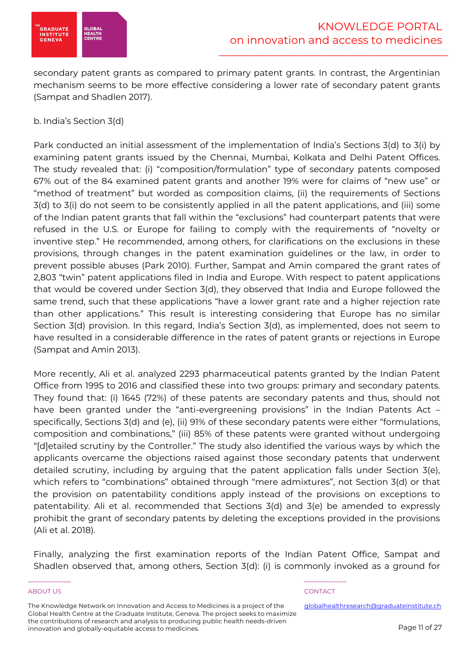

secondary patent grants as compared to primary patent grants. In contrast, the Argentinian mechanism seems to be more effective considering a lower rate of secondary patent grants (Sampat and Shadlen 2017).

b. India's Section 3(d)

Park conducted an initial assessment of the implementation of India's Sections 3(d) to 3(i) by examining patent grants issued by the Chennai, Mumbai, Kolkata and Delhi Patent Offices. The study revealed that: (i) "composition/formulation" type of secondary patents composed 67% out of the 84 examined patent grants and another 19% were for claims of "new use" or "method of treatment" but worded as composition claims, (ii) the requirements of Sections 3(d) to 3(i) do not seem to be consistently applied in all the patent applications, and (iii) some of the Indian patent grants that fall within the "exclusions" had counterpart patents that were refused in the U.S. or Europe for failing to comply with the requirements of "novelty or inventive step." He recommended, among others, for clarifications on the exclusions in these provisions, through changes in the patent examination guidelines or the law, in order to prevent possible abuses (Park 2010). Further, Sampat and Amin compared the grant rates of 2,803 "twin" patent applications filed in India and Europe. With respect to patent applications that would be covered under Section 3(d), they observed that India and Europe followed the same trend, such that these applications "have a lower grant rate and a higher rejection rate than other applications." This result is interesting considering that Europe has no similar Section 3(d) provision. In this regard, India's Section 3(d), as implemented, does not seem to have resulted in a considerable difference in the rates of patent grants or rejections in Europe (Sampat and Amin 2013).

More recently, Ali et al. analyzed 2293 pharmaceutical patents granted by the Indian Patent Office from 1995 to 2016 and classified these into two groups: primary and secondary patents. They found that: (i) 1645 (72%) of these patents are secondary patents and thus, should not have been granted under the "anti-evergreening provisions" in the Indian Patents Act specifically, Sections 3(d) and (e), (ii) 91% of these secondary patents were either "formulations, composition and combinations," (iii) 85% of these patents were granted without undergoing "[d]etailed scrutiny by the Controller." The study also identified the various ways by which the applicants overcame the objections raised against those secondary patents that underwent detailed scrutiny, including by arguing that the patent application falls under Section 3(e), which refers to "combinations" obtained through "mere admixtures", not Section 3(d) or that the provision on patentability conditions apply instead of the provisions on exceptions to patentability. Ali et al. recommended that Sections 3(d) and 3(e) be amended to expressly prohibit the grant of secondary patents by deleting the exceptions provided in the provisions (Ali et al. 2018).

Finally, analyzing the first examination reports of the Indian Patent Office, Sampat and Shadlen observed that, among others, Section 3(d): (i) is commonly invoked as a ground for

### ABOUT US ADOUT A SERVICE OF THE SERVICE OF THE SERVICE OF THE SERVICE OF THE SERVICE OF THE SERVICE OF THE SERVICE OF THE SERVICE OF THE SERVICE OF THE SERVICE OF THE SERVICE OF THE SERVICE OF THE SERVICE OF THE SERVICE OF

\_\_\_\_\_\_\_\_\_\_\_ \_\_\_\_\_\_\_\_\_\_\_

The Knowledge Network on Innovation and Access to Medicines is a project of the Global Health Centre at the Graduate Institute, Geneva. The project seeks to maximize the contributions of research and analysis to producing public health needs-driven innovation and globally-equitable access to medicines.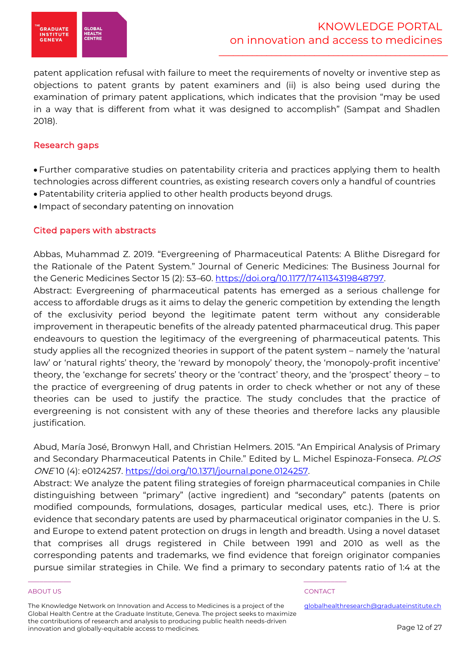

patent application refusal with failure to meet the requirements of novelty or inventive step as objections to patent grants by patent examiners and (ii) is also being used during the examination of primary patent applications, which indicates that the provision "may be used in a way that is different from what it was designed to accomplish" (Sampat and Shadlen 2018).

# Research gaps

• Further comparative studies on patentability criteria and practices applying them to health technologies across different countries, as existing research covers only a handful of countries

- Patentability criteria applied to other health products beyond drugs.
- Impact of secondary patenting on innovation

# Cited papers with abstracts

Abbas, Muhammad Z. 2019. "Evergreening of Pharmaceutical Patents: A Blithe Disregard for the Rationale of the Patent System." Journal of Generic Medicines: The Business Journal for the Generic Medicines Sector 15 (2): 53–60. https://doi.org/10.1177/1741134319848797.

Abstract: Evergreening of pharmaceutical patents has emerged as a serious challenge for access to affordable drugs as it aims to delay the generic competition by extending the length of the exclusivity period beyond the legitimate patent term without any considerable improvement in therapeutic benefits of the already patented pharmaceutical drug. This paper endeavours to question the legitimacy of the evergreening of pharmaceutical patents. This study applies all the recognized theories in support of the patent system – namely the 'natural law' or 'natural rights' theory, the 'reward by monopoly' theory, the 'monopoly-profit incentive' theory, the 'exchange for secrets' theory or the 'contract' theory, and the 'prospect' theory – to the practice of evergreening of drug patents in order to check whether or not any of these theories can be used to justify the practice. The study concludes that the practice of evergreening is not consistent with any of these theories and therefore lacks any plausible justification.

Abud, María José, Bronwyn Hall, and Christian Helmers. 2015. "An Empirical Analysis of Primary and Secondary Pharmaceutical Patents in Chile." Edited by L. Michel Espinoza-Fonseca. PLOS ONE 10 (4): e0124257. https://doi.org/10.1371/journal.pone.0124257.

Abstract: We analyze the patent filing strategies of foreign pharmaceutical companies in Chile distinguishing between "primary" (active ingredient) and "secondary" patents (patents on modified compounds, formulations, dosages, particular medical uses, etc.). There is prior evidence that secondary patents are used by pharmaceutical originator companies in the U. S. and Europe to extend patent protection on drugs in length and breadth. Using a novel dataset that comprises all drugs registered in Chile between 1991 and 2010 as well as the corresponding patents and trademarks, we find evidence that foreign originator companies pursue similar strategies in Chile. We find a primary to secondary patents ratio of 1:4 at the

### ABOUT US ADOUT A SERVICE OF THE SERVICE OF THE SERVICE OF THE SERVICE OF THE SERVICE OF THE SERVICE OF THE SERVICE OF THE SERVICE OF THE SERVICE OF THE SERVICE OF THE SERVICE OF THE SERVICE OF THE SERVICE OF THE SERVICE OF

The Knowledge Network on Innovation and Access to Medicines is a project of the Global Health Centre at the Graduate Institute, Geneva. The project seeks to maximize the contributions of research and analysis to producing public health needs-driven innovation and globally-equitable access to medicines.

\_\_\_\_\_\_\_\_\_\_\_ \_\_\_\_\_\_\_\_\_\_\_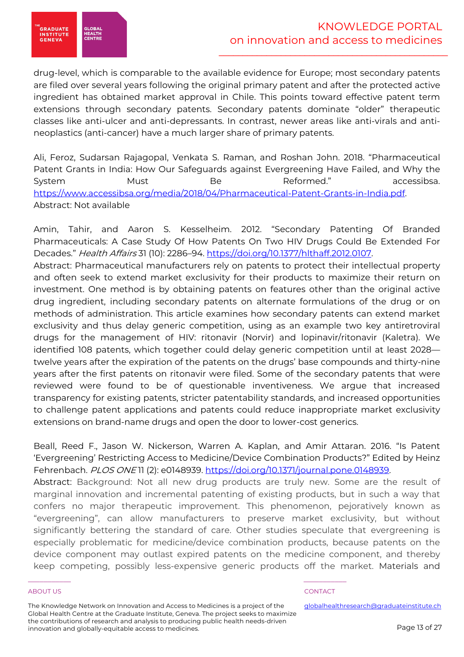

drug-level, which is comparable to the available evidence for Europe; most secondary patents are filed over several years following the original primary patent and after the protected active ingredient has obtained market approval in Chile. This points toward effective patent term extensions through secondary patents. Secondary patents dominate "older" therapeutic classes like anti-ulcer and anti-depressants. In contrast, newer areas like anti-virals and antineoplastics (anti-cancer) have a much larger share of primary patents.

Ali, Feroz, Sudarsan Rajagopal, Venkata S. Raman, and Roshan John. 2018. "Pharmaceutical Patent Grants in India: How Our Safeguards against Evergreening Have Failed, and Why the System Must Be Reformed." accessibsa. https://www.accessibsa.org/media/2018/04/Pharmaceutical-Patent-Grants-in-India.pdf. Abstract: Not available

Amin, Tahir, and Aaron S. Kesselheim. 2012. "Secondary Patenting Of Branded Pharmaceuticals: A Case Study Of How Patents On Two HIV Drugs Could Be Extended For Decades." Health Affairs 31 (10): 2286-94. https://doi.org/10.1377/hlthaff.2012.0107.

Abstract: Pharmaceutical manufacturers rely on patents to protect their intellectual property and often seek to extend market exclusivity for their products to maximize their return on investment. One method is by obtaining patents on features other than the original active drug ingredient, including secondary patents on alternate formulations of the drug or on methods of administration. This article examines how secondary patents can extend market exclusivity and thus delay generic competition, using as an example two key antiretroviral drugs for the management of HIV: ritonavir (Norvir) and lopinavir/ritonavir (Kaletra). We identified 108 patents, which together could delay generic competition until at least 2028 twelve years after the expiration of the patents on the drugs' base compounds and thirty-nine years after the first patents on ritonavir were filed. Some of the secondary patents that were reviewed were found to be of questionable inventiveness. We argue that increased transparency for existing patents, stricter patentability standards, and increased opportunities to challenge patent applications and patents could reduce inappropriate market exclusivity extensions on brand-name drugs and open the door to lower-cost generics.

Beall, Reed F., Jason W. Nickerson, Warren A. Kaplan, and Amir Attaran. 2016. "Is Patent 'Evergreening' Restricting Access to Medicine/Device Combination Products?" Edited by Heinz Fehrenbach. PLOS ONE 11 (2): e0148939. https://doi.org/10.1371/journal.pone.0148939.

Abstract: Background: Not all new drug products are truly new. Some are the result of marginal innovation and incremental patenting of existing products, but in such a way that confers no major therapeutic improvement. This phenomenon, pejoratively known as "evergreening", can allow manufacturers to preserve market exclusivity, but without significantly bettering the standard of care. Other studies speculate that evergreening is especially problematic for medicine/device combination products, because patents on the device component may outlast expired patents on the medicine component, and thereby keep competing, possibly less-expensive generic products off the market. Materials and

### ABOUT US ADOUT A SERVICE OF THE SERVICE OF THE SERVICE OF THE SERVICE OF THE SERVICE OF THE SERVICE OF THE SERVICE OF THE SERVICE OF THE SERVICE OF THE SERVICE OF THE SERVICE OF THE SERVICE OF THE SERVICE OF THE SERVICE OF

The Knowledge Network on Innovation and Access to Medicines is a project of the Global Health Centre at the Graduate Institute, Geneva. The project seeks to maximize the contributions of research and analysis to producing public health needs-driven innovation and globally-equitable access to medicines.

\_\_\_\_\_\_\_\_\_\_\_ \_\_\_\_\_\_\_\_\_\_\_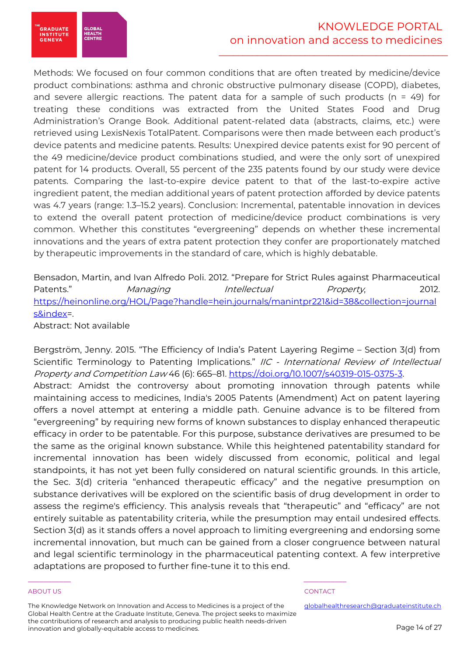Methods: We focused on four common conditions that are often treated by medicine/device product combinations: asthma and chronic obstructive pulmonary disease (COPD), diabetes, and severe allergic reactions. The patent data for a sample of such products ( $n = 49$ ) for treating these conditions was extracted from the United States Food and Drug Administration's Orange Book. Additional patent-related data (abstracts, claims, etc.) were retrieved using LexisNexis TotalPatent. Comparisons were then made between each product's device patents and medicine patents. Results: Unexpired device patents exist for 90 percent of the 49 medicine/device product combinations studied, and were the only sort of unexpired patent for 14 products. Overall, 55 percent of the 235 patents found by our study were device patents. Comparing the last-to-expire device patent to that of the last-to-expire active ingredient patent, the median additional years of patent protection afforded by device patents was 4.7 years (range: 1.3–15.2 years). Conclusion: Incremental, patentable innovation in devices to extend the overall patent protection of medicine/device product combinations is very common. Whether this constitutes "evergreening" depends on whether these incremental innovations and the years of extra patent protection they confer are proportionately matched by therapeutic improvements in the standard of care, which is highly debatable.

# Bensadon, Martin, and Ivan Alfredo Poli. 2012. "Prepare for Strict Rules against Pharmaceutical Patents." Managing Intellectual Property, 2012. https://heinonline.org/HOL/Page?handle=hein.journals/manintpr221&id=38&collection=journal s&index=.

Abstract: Not available

**GRADUATE** 

**INSTITUTE**<br>GENEVA

**GLOBA**<br>HEALTH

Bergström, Jenny. 2015. "The Efficiency of India's Patent Layering Regime – Section 3(d) from Scientific Terminology to Patenting Implications." IIC - International Review of Intellectual Property and Competition Law 46 (6): 665–81. https://doi.org/10.1007/s40319-015-0375-3. Abstract: Amidst the controversy about promoting innovation through patents while

maintaining access to medicines, India's 2005 Patents (Amendment) Act on patent layering offers a novel attempt at entering a middle path. Genuine advance is to be filtered from "evergreening" by requiring new forms of known substances to display enhanced therapeutic efficacy in order to be patentable. For this purpose, substance derivatives are presumed to be the same as the original known substance. While this heightened patentability standard for incremental innovation has been widely discussed from economic, political and legal standpoints, it has not yet been fully considered on natural scientific grounds. In this article, the Sec. 3(d) criteria "enhanced therapeutic efficacy" and the negative presumption on substance derivatives will be explored on the scientific basis of drug development in order to assess the regime's efficiency. This analysis reveals that "therapeutic" and "efficacy" are not entirely suitable as patentability criteria, while the presumption may entail undesired effects. Section 3(d) as it stands offers a novel approach to limiting evergreening and endorsing some incremental innovation, but much can be gained from a closer congruence between natural and legal scientific terminology in the pharmaceutical patenting context. A few interpretive adaptations are proposed to further fine-tune it to this end.

The Knowledge Network on Innovation and Access to Medicines is a project of the Global Health Centre at the Graduate Institute, Geneva. The project seeks to maximize the contributions of research and analysis to producing public health needs-driven innovation and globally-equitable access to medicines.

\_\_\_\_\_\_\_\_\_\_\_ \_\_\_\_\_\_\_\_\_\_\_

### ABOUT US AND INTERNATIONAL CONTACT THE RELEASE OF THE RELEASE OF THE RELEASE OF THE RELEASE OF THE RELEASE OF THE RELEASE OF THE RELEASE OF THE RELEASE OF THE RELEASE OF THE RELEASE OF THE RELEASE OF THE RELEASE OF THE REL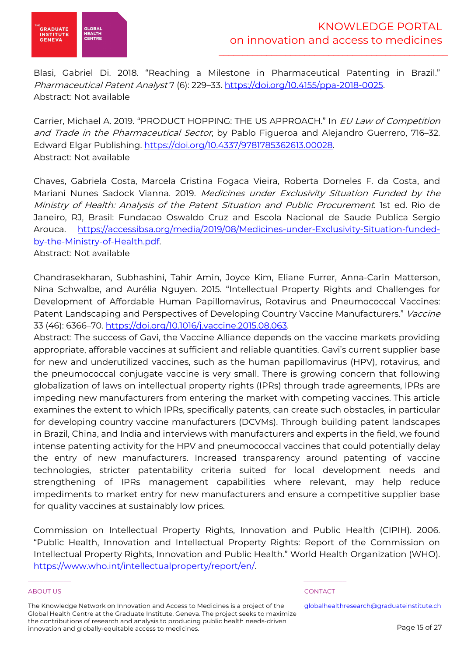

Blasi, Gabriel Di. 2018. "Reaching a Milestone in Pharmaceutical Patenting in Brazil." Pharmaceutical Patent Analyst 7 (6): 229–33. https://doi.org/10.4155/ppa-2018-0025. Abstract: Not available

Carrier, Michael A. 2019. "PRODUCT HOPPING: THE US APPROACH." In EU Law of Competition and Trade in the Pharmaceutical Sector, by Pablo Figueroa and Alejandro Guerrero, 716-32. Edward Elgar Publishing. https://doi.org/10.4337/9781785362613.00028. Abstract: Not available

Chaves, Gabriela Costa, Marcela Cristina Fogaca Vieira, Roberta Dorneles F. da Costa, and Mariani Nunes Sadock Vianna. 2019. Medicines under Exclusivity Situation Funded by the Ministry of Health: Analysis of the Patent Situation and Public Procurement. 1st ed. Rio de Janeiro, RJ, Brasil: Fundacao Oswaldo Cruz and Escola Nacional de Saude Publica Sergio Arouca. https://accessibsa.org/media/2019/08/Medicines-under-Exclusivity-Situation-fundedby-the-Ministry-of-Health.pdf.

Abstract: Not available

Chandrasekharan, Subhashini, Tahir Amin, Joyce Kim, Eliane Furrer, Anna-Carin Matterson, Nina Schwalbe, and Aurélia Nguyen. 2015. "Intellectual Property Rights and Challenges for Development of Affordable Human Papillomavirus, Rotavirus and Pneumococcal Vaccines: Patent Landscaping and Perspectives of Developing Country Vaccine Manufacturers." Vaccine 33 (46): 6366–70. https://doi.org/10.1016/j.vaccine.2015.08.063.

Abstract: The success of Gavi, the Vaccine Alliance depends on the vaccine markets providing appropriate, afforable vaccines at sufficient and reliable quantities. Gavi's current supplier base for new and underutilized vaccines, such as the human papillomavirus (HPV), rotavirus, and the pneumococcal conjugate vaccine is very small. There is growing concern that following globalization of laws on intellectual property rights (IPRs) through trade agreements, IPRs are impeding new manufacturers from entering the market with competing vaccines. This article examines the extent to which IPRs, specifically patents, can create such obstacles, in particular for developing country vaccine manufacturers (DCVMs). Through building patent landscapes in Brazil, China, and India and interviews with manufacturers and experts in the field, we found intense patenting activity for the HPV and pneumococcal vaccines that could potentially delay the entry of new manufacturers. Increased transparency around patenting of vaccine technologies, stricter patentability criteria suited for local development needs and strengthening of IPRs management capabilities where relevant, may help reduce impediments to market entry for new manufacturers and ensure a competitive supplier base for quality vaccines at sustainably low prices.

Commission on Intellectual Property Rights, Innovation and Public Health (CIPIH). 2006. "Public Health, Innovation and Intellectual Property Rights: Report of the Commission on Intellectual Property Rights, Innovation and Public Health." World Health Organization (WHO). https://www.who.int/intellectualproperty/report/en/.

### ABOUT US ADOUT A SERVICE OF THE SERVICE OF THE SERVICE OF THE SERVICE OF THE SERVICE OF THE SERVICE OF THE SERVICE OF THE SERVICE OF THE SERVICE OF THE SERVICE OF THE SERVICE OF THE SERVICE OF THE SERVICE OF THE SERVICE OF

The Knowledge Network on Innovation and Access to Medicines is a project of the Global Health Centre at the Graduate Institute, Geneva. The project seeks to maximize the contributions of research and analysis to producing public health needs-driven innovation and globally-equitable access to medicines.

\_\_\_\_\_\_\_\_\_\_\_ \_\_\_\_\_\_\_\_\_\_\_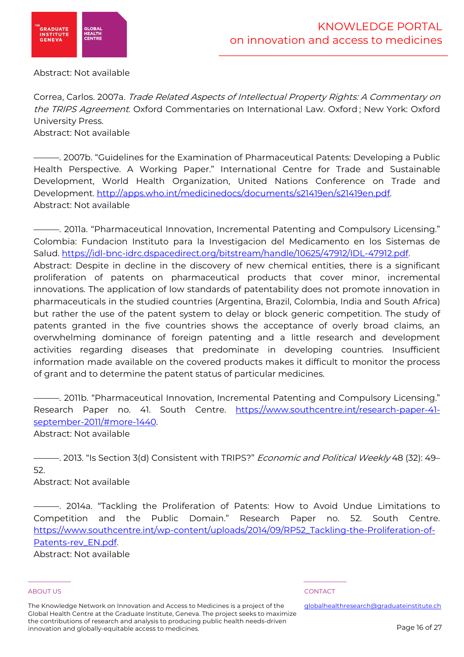

Abstract: Not available

Correa, Carlos. 2007a. Trade Related Aspects of Intellectual Property Rights: A Commentary on the TRIPS Agreement. Oxford Commentaries on International Law. Oxford ; New York: Oxford University Press.

Abstract: Not available

———. 2007b. "Guidelines for the Examination of Pharmaceutical Patents: Developing a Public Health Perspective. A Working Paper." International Centre for Trade and Sustainable Development, World Health Organization, United Nations Conference on Trade and Development. http://apps.who.int/medicinedocs/documents/s21419en/s21419en.pdf. Abstract: Not available

———. 2011a. "Pharmaceutical Innovation, Incremental Patenting and Compulsory Licensing." Colombia: Fundacion Instituto para la Investigacion del Medicamento en los Sistemas de Salud. https://idl-bnc-idrc.dspacedirect.org/bitstream/handle/10625/47912/IDL-47912.pdf. Abstract: Despite in decline in the discovery of new chemical entities, there is a significant proliferation of patents on pharmaceutical products that cover minor, incremental innovations. The application of low standards of patentability does not promote innovation in pharmaceuticals in the studied countries (Argentina, Brazil, Colombia, India and South Africa) but rather the use of the patent system to delay or block generic competition. The study of patents granted in the five countries shows the acceptance of overly broad claims, an overwhelming dominance of foreign patenting and a little research and development activities regarding diseases that predominate in developing countries. Insufficient information made available on the covered products makes it difficult to monitor the process of grant and to determine the patent status of particular medicines.

———. 2011b. "Pharmaceutical Innovation, Incremental Patenting and Compulsory Licensing." Research Paper no. 41. South Centre. https://www.southcentre.int/research-paper-41 september-2011/#more-1440. Abstract: Not available

——. 2013. "Is Section 3(d) Consistent with TRIPS?" *Economic and Political Weekly* 48 (32): 49– 52.

Abstract: Not available

———. 2014a. "Tackling the Proliferation of Patents: How to Avoid Undue Limitations to Competition and the Public Domain." Research Paper no. 52. South Centre. https://www.southcentre.int/wp-content/uploads/2014/09/RP52\_Tackling-the-Proliferation-of-Patents-rev\_EN.pdf.

Abstract: Not available

### ABOUT US ADOUT A SERVICE OF THE SERVICE OF THE SERVICE OF THE SERVICE OF THE SERVICE OF THE SERVICE OF THE SERVICE OF THE SERVICE OF THE SERVICE OF THE SERVICE OF THE SERVICE OF THE SERVICE OF THE SERVICE OF THE SERVICE OF

\_\_\_\_\_\_\_\_\_\_\_ \_\_\_\_\_\_\_\_\_\_\_

The Knowledge Network on Innovation and Access to Medicines is a project of the Global Health Centre at the Graduate Institute, Geneva. The project seeks to maximize the contributions of research and analysis to producing public health needs-driven innovation and globally-equitable access to medicines.

globalhealthresearch@graduateinstitute.ch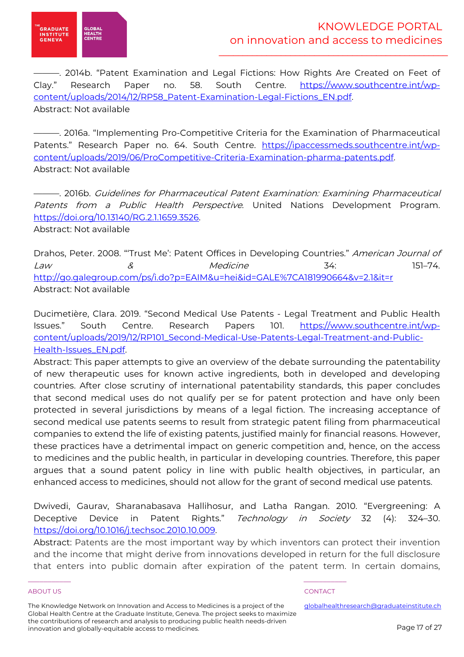

———. 2014b. "Patent Examination and Legal Fictions: How Rights Are Created on Feet of Clay." Research Paper no. 58. South Centre. https://www.southcentre.int/wpcontent/uploads/2014/12/RP58\_Patent-Examination-Legal-Fictions\_EN.pdf. Abstract: Not available

———. 2016a. "Implementing Pro-Competitive Criteria for the Examination of Pharmaceutical Patents." Research Paper no. 64. South Centre. https://ipaccessmeds.southcentre.int/wpcontent/uploads/2019/06/ProCompetitive-Criteria-Examination-pharma-patents.pdf. Abstract: Not available

———. 2016b. Guidelines for Pharmaceutical Patent Examination: Examining Pharmaceutical Patents from a Public Health Perspective. United Nations Development Program. https://doi.org/10.13140/RG.2.1.1659.3526. Abstract: Not available

Drahos, Peter. 2008. "Trust Me': Patent Offices in Developing Countries." American Journal of Law & Medicine 34: 151–74. http://go.galegroup.com/ps/i.do?p=EAIM&u=hei&id=GALE%7CA181990664&v=2.1&it=r Abstract: Not available

Ducimetière, Clara. 2019. "Second Medical Use Patents - Legal Treatment and Public Health Issues." South Centre. Research Papers 101. https://www.southcentre.int/wpcontent/uploads/2019/12/RP101\_Second-Medical-Use-Patents-Legal-Treatment-and-Public-Health-Issues\_EN.pdf.

Abstract: This paper attempts to give an overview of the debate surrounding the patentability of new therapeutic uses for known active ingredients, both in developed and developing countries. After close scrutiny of international patentability standards, this paper concludes that second medical uses do not qualify per se for patent protection and have only been protected in several jurisdictions by means of a legal fiction. The increasing acceptance of second medical use patents seems to result from strategic patent filing from pharmaceutical companies to extend the life of existing patents, justified mainly for financial reasons. However, these practices have a detrimental impact on generic competition and, hence, on the access to medicines and the public health, in particular in developing countries. Therefore, this paper argues that a sound patent policy in line with public health objectives, in particular, an enhanced access to medicines, should not allow for the grant of second medical use patents.

Dwivedi, Gaurav, Sharanabasava Hallihosur, and Latha Rangan. 2010. "Evergreening: A Deceptive Device in Patent Rights." Technology in Society 32 (4): 324-30. https://doi.org/10.1016/j.techsoc.2010.10.009.

Abstract: Patents are the most important way by which inventors can protect their invention and the income that might derive from innovations developed in return for the full disclosure that enters into public domain after expiration of the patent term. In certain domains,

### ABOUT US AND INTERNATIONAL CONTACT THE RELEASE OF THE RELEASE OF THE RELEASE OF THE RELEASE OF THE RELEASE OF THE RELEASE OF THE RELEASE OF THE RELEASE OF THE RELEASE OF THE RELEASE OF THE RELEASE OF THE RELEASE OF THE REL

The Knowledge Network on Innovation and Access to Medicines is a project of the Global Health Centre at the Graduate Institute, Geneva. The project seeks to maximize the contributions of research and analysis to producing public health needs-driven innovation and globally-equitable access to medicines.

\_\_\_\_\_\_\_\_\_\_\_ \_\_\_\_\_\_\_\_\_\_\_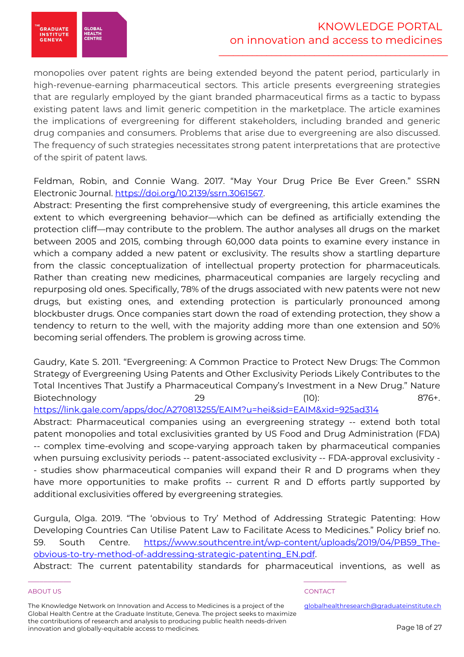

monopolies over patent rights are being extended beyond the patent period, particularly in high-revenue-earning pharmaceutical sectors. This article presents evergreening strategies that are regularly employed by the giant branded pharmaceutical firms as a tactic to bypass existing patent laws and limit generic competition in the marketplace. The article examines the implications of evergreening for different stakeholders, including branded and generic drug companies and consumers. Problems that arise due to evergreening are also discussed. The frequency of such strategies necessitates strong patent interpretations that are protective of the spirit of patent laws.

Feldman, Robin, and Connie Wang. 2017. "May Your Drug Price Be Ever Green." SSRN Electronic Journal. https://doi.org/10.2139/ssrn.3061567.

Abstract: Presenting the first comprehensive study of evergreening, this article examines the extent to which evergreening behavior—which can be defined as artificially extending the protection cliff—may contribute to the problem. The author analyses all drugs on the market between 2005 and 2015, combing through 60,000 data points to examine every instance in which a company added a new patent or exclusivity. The results show a startling departure from the classic conceptualization of intellectual property protection for pharmaceuticals. Rather than creating new medicines, pharmaceutical companies are largely recycling and repurposing old ones. Specifically, 78% of the drugs associated with new patents were not new drugs, but existing ones, and extending protection is particularly pronounced among blockbuster drugs. Once companies start down the road of extending protection, they show a tendency to return to the well, with the majority adding more than one extension and 50% becoming serial offenders. The problem is growing across time.

Gaudry, Kate S. 2011. "Evergreening: A Common Practice to Protect New Drugs: The Common Strategy of Evergreening Using Patents and Other Exclusivity Periods Likely Contributes to the Total Incentives That Justify a Pharmaceutical Company's Investment in a New Drug." Nature Biotechnology 29 (10): 876+.

https://link.gale.com/apps/doc/A270813255/EAIM?u=hei&sid=EAIM&xid=925ad314

Abstract: Pharmaceutical companies using an evergreening strategy -- extend both total patent monopolies and total exclusivities granted by US Food and Drug Administration (FDA) -- complex time-evolving and scope-varying approach taken by pharmaceutical companies when pursuing exclusivity periods -- patent-associated exclusivity -- FDA-approval exclusivity - - studies show pharmaceutical companies will expand their R and D programs when they have more opportunities to make profits -- current R and D efforts partly supported by additional exclusivities offered by evergreening strategies.

Gurgula, Olga. 2019. "The 'obvious to Try' Method of Addressing Strategic Patenting: How Developing Countries Can Utilise Patent Law to Facilitate Acess to Medicines." Policy brief no. 59. South Centre. https://www.southcentre.int/wp-content/uploads/2019/04/PB59\_Theobvious-to-try-method-of-addressing-strategic-patenting\_EN.pdf.

Abstract: The current patentability standards for pharmaceutical inventions, as well as

### ABOUT US ADOUT A SERVICE OF THE SERVICE OF THE SERVICE OF THE SERVICE OF THE SERVICE OF THE SERVICE OF THE SERVICE OF THE SERVICE OF THE SERVICE OF THE SERVICE OF THE SERVICE OF THE SERVICE OF THE SERVICE OF THE SERVICE OF

The Knowledge Network on Innovation and Access to Medicines is a project of the Global Health Centre at the Graduate Institute, Geneva. The project seeks to maximize the contributions of research and analysis to producing public health needs-driven innovation and globally-equitable access to medicines.

\_\_\_\_\_\_\_\_\_\_\_ \_\_\_\_\_\_\_\_\_\_\_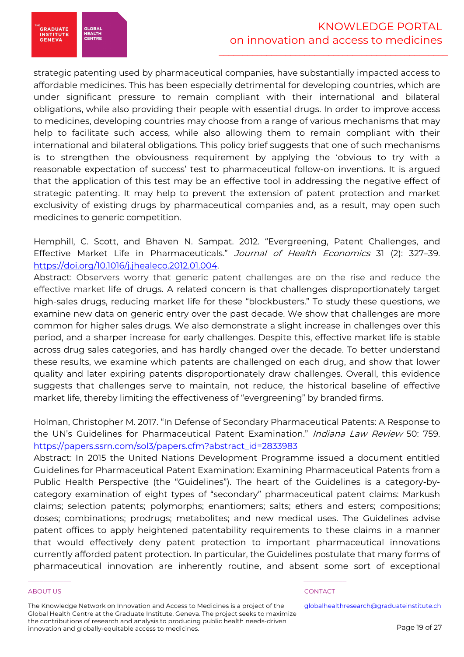**GRADUATE INSTITUTE**<br>GENEVA

**GLOBA**<br>HEALTH

strategic patenting used by pharmaceutical companies, have substantially impacted access to affordable medicines. This has been especially detrimental for developing countries, which are under significant pressure to remain compliant with their international and bilateral obligations, while also providing their people with essential drugs. In order to improve access to medicines, developing countries may choose from a range of various mechanisms that may help to facilitate such access, while also allowing them to remain compliant with their international and bilateral obligations. This policy brief suggests that one of such mechanisms is to strengthen the obviousness requirement by applying the 'obvious to try with a reasonable expectation of success' test to pharmaceutical follow-on inventions. It is argued that the application of this test may be an effective tool in addressing the negative effect of strategic patenting. It may help to prevent the extension of patent protection and market exclusivity of existing drugs by pharmaceutical companies and, as a result, may open such medicines to generic competition.

Hemphill, C. Scott, and Bhaven N. Sampat. 2012. "Evergreening, Patent Challenges, and Effective Market Life in Pharmaceuticals." Journal of Health Economics 31 (2): 327-39. https://doi.org/10.1016/j.jhealeco.2012.01.004.

Abstract: Observers worry that generic patent challenges are on the rise and reduce the effective market life of drugs. A related concern is that challenges disproportionately target high-sales drugs, reducing market life for these "blockbusters." To study these questions, we examine new data on generic entry over the past decade. We show that challenges are more common for higher sales drugs. We also demonstrate a slight increase in challenges over this period, and a sharper increase for early challenges. Despite this, effective market life is stable across drug sales categories, and has hardly changed over the decade. To better understand these results, we examine which patents are challenged on each drug, and show that lower quality and later expiring patents disproportionately draw challenges. Overall, this evidence suggests that challenges serve to maintain, not reduce, the historical baseline of effective market life, thereby limiting the effectiveness of "evergreening" by branded firms.

Holman, Christopher M. 2017. "In Defense of Secondary Pharmaceutical Patents: A Response to the UN's Guidelines for Pharmaceutical Patent Examination." Indiana Law Review 50: 759. https://papers.ssrn.com/sol3/papers.cfm?abstract\_id=2833983

Abstract: In 2015 the United Nations Development Programme issued a document entitled Guidelines for Pharmaceutical Patent Examination: Examining Pharmaceutical Patents from a Public Health Perspective (the "Guidelines"). The heart of the Guidelines is a category-bycategory examination of eight types of "secondary" pharmaceutical patent claims: Markush claims; selection patents; polymorphs; enantiomers; salts; ethers and esters; compositions; doses; combinations; prodrugs; metabolites; and new medical uses. The Guidelines advise patent offices to apply heightened patentability requirements to these claims in a manner that would effectively deny patent protection to important pharmaceutical innovations currently afforded patent protection. In particular, the Guidelines postulate that many forms of pharmaceutical innovation are inherently routine, and absent some sort of exceptional

### ABOUT US ADOUT A SERVICE OF THE SERVICE OF THE SERVICE OF THE SERVICE OF THE SERVICE OF THE SERVICE OF THE SERVICE OF THE SERVICE OF THE SERVICE OF THE SERVICE OF THE SERVICE OF THE SERVICE OF THE SERVICE OF THE SERVICE OF

The Knowledge Network on Innovation and Access to Medicines is a project of the Global Health Centre at the Graduate Institute, Geneva. The project seeks to maximize the contributions of research and analysis to producing public health needs-driven innovation and globally-equitable access to medicines.

\_\_\_\_\_\_\_\_\_\_\_ \_\_\_\_\_\_\_\_\_\_\_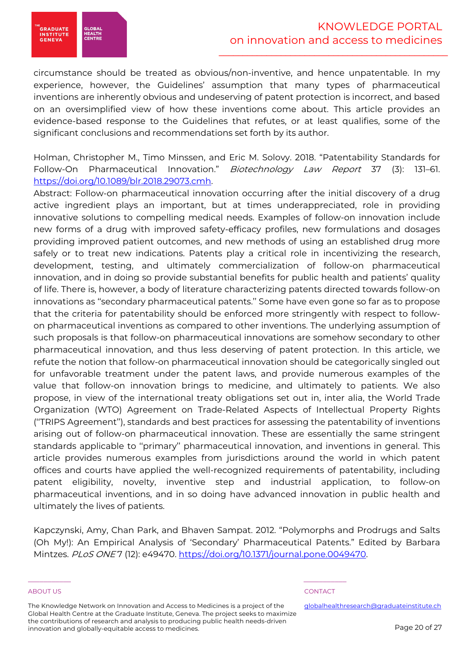

circumstance should be treated as obvious/non-inventive, and hence unpatentable. In my experience, however, the Guidelines' assumption that many types of pharmaceutical inventions are inherently obvious and undeserving of patent protection is incorrect, and based on an oversimplified view of how these inventions come about. This article provides an evidence-based response to the Guidelines that refutes, or at least qualifies, some of the significant conclusions and recommendations set forth by its author.

Holman, Christopher M., Timo Minssen, and Eric M. Solovy. 2018. "Patentability Standards for Follow-On Pharmaceutical Innovation." Biotechnology Law Report 37 (3): 131-61. https://doi.org/10.1089/blr.2018.29073.cmh.

Abstract: Follow-on pharmaceutical innovation occurring after the initial discovery of a drug active ingredient plays an important, but at times underappreciated, role in providing innovative solutions to compelling medical needs. Examples of follow-on innovation include new forms of a drug with improved safety-efficacy profiles, new formulations and dosages providing improved patient outcomes, and new methods of using an established drug more safely or to treat new indications. Patents play a critical role in incentivizing the research, development, testing, and ultimately commercialization of follow-on pharmaceutical innovation, and in doing so provide substantial benefits for public health and patients' quality of life. There is, however, a body of literature characterizing patents directed towards follow-on innovations as ''secondary pharmaceutical patents.'' Some have even gone so far as to propose that the criteria for patentability should be enforced more stringently with respect to followon pharmaceutical inventions as compared to other inventions. The underlying assumption of such proposals is that follow-on pharmaceutical innovations are somehow secondary to other pharmaceutical innovation, and thus less deserving of patent protection. In this article, we refute the notion that follow-on pharmaceutical innovation should be categorically singled out for unfavorable treatment under the patent laws, and provide numerous examples of the value that follow-on innovation brings to medicine, and ultimately to patients. We also propose, in view of the international treaty obligations set out in, inter alia, the World Trade Organization (WTO) Agreement on Trade-Related Aspects of Intellectual Property Rights (''TRIPS Agreement''), standards and best practices for assessing the patentability of inventions arising out of follow-on pharmaceutical innovation. These are essentially the same stringent standards applicable to ''primary'' pharmaceutical innovation, and inventions in general. This article provides numerous examples from jurisdictions around the world in which patent offices and courts have applied the well-recognized requirements of patentability, including patent eligibility, novelty, inventive step and industrial application, to follow-on pharmaceutical inventions, and in so doing have advanced innovation in public health and ultimately the lives of patients.

Kapczynski, Amy, Chan Park, and Bhaven Sampat. 2012. "Polymorphs and Prodrugs and Salts (Oh My!): An Empirical Analysis of 'Secondary' Pharmaceutical Patents." Edited by Barbara Mintzes. PLoS ONE 7 (12): e49470. https://doi.org/10.1371/journal.pone.0049470.

### ABOUT US ADOUT A SERVICE OF THE SERVICE OF THE SERVICE OF THE SERVICE OF THE SERVICE OF THE SERVICE OF THE SERVICE OF THE SERVICE OF THE SERVICE OF THE SERVICE OF THE SERVICE OF THE SERVICE OF THE SERVICE OF THE SERVICE OF

**GRADUATE** 

**INSTITUTE**<br>GENEVA

**GLOBA**<br>HEALTH

The Knowledge Network on Innovation and Access to Medicines is a project of the Global Health Centre at the Graduate Institute, Geneva. The project seeks to maximize the contributions of research and analysis to producing public health needs-driven innovation and globally-equitable access to medicines.

\_\_\_\_\_\_\_\_\_\_\_ \_\_\_\_\_\_\_\_\_\_\_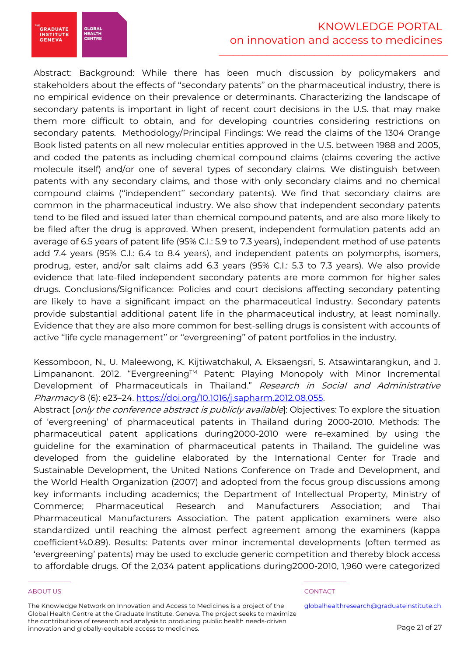# KNOWLEDGE PORTAL on innovation and access to medicines

 $\mathcal{L}=\frac{1}{2} \sum_{i=1}^{n} \frac{1}{2} \sum_{i=1}^{n} \frac{1}{2} \sum_{i=1}^{n} \frac{1}{2} \sum_{i=1}^{n} \frac{1}{2} \sum_{i=1}^{n} \frac{1}{2} \sum_{i=1}^{n} \frac{1}{2} \sum_{i=1}^{n} \frac{1}{2} \sum_{i=1}^{n} \frac{1}{2} \sum_{i=1}^{n} \frac{1}{2} \sum_{i=1}^{n} \frac{1}{2} \sum_{i=1}^{n} \frac{1}{2} \sum_{i=1}^{n} \frac{1}{2} \sum_{$ 

Abstract: Background: While there has been much discussion by policymakers and stakeholders about the effects of ''secondary patents'' on the pharmaceutical industry, there is no empirical evidence on their prevalence or determinants. Characterizing the landscape of secondary patents is important in light of recent court decisions in the U.S. that may make them more difficult to obtain, and for developing countries considering restrictions on secondary patents. Methodology/Principal Findings: We read the claims of the 1304 Orange Book listed patents on all new molecular entities approved in the U.S. between 1988 and 2005, and coded the patents as including chemical compound claims (claims covering the active molecule itself) and/or one of several types of secondary claims. We distinguish between patents with any secondary claims, and those with only secondary claims and no chemical compound claims (''independent'' secondary patents). We find that secondary claims are common in the pharmaceutical industry. We also show that independent secondary patents tend to be filed and issued later than chemical compound patents, and are also more likely to be filed after the drug is approved. When present, independent formulation patents add an average of 6.5 years of patent life (95% C.I.: 5.9 to 7.3 years), independent method of use patents add 7.4 years (95% C.I.: 6.4 to 8.4 years), and independent patents on polymorphs, isomers, prodrug, ester, and/or salt claims add 6.3 years (95% C.I.: 5.3 to 7.3 years). We also provide evidence that late-filed independent secondary patents are more common for higher sales drugs. Conclusions/Significance: Policies and court decisions affecting secondary patenting are likely to have a significant impact on the pharmaceutical industry. Secondary patents provide substantial additional patent life in the pharmaceutical industry, at least nominally. Evidence that they are also more common for best-selling drugs is consistent with accounts of active ''life cycle management'' or ''evergreening'' of patent portfolios in the industry.

Kessomboon, N., U. Maleewong, K. Kijtiwatchakul, A. Eksaengsri, S. Atsawintarangkun, and J. Limpananont. 2012. "Evergreening™ Patent: Playing Monopoly with Minor Incremental Development of Pharmaceuticals in Thailand." Research in Social and Administrative Pharmacy 8 (6): e23–24. https://doi.org/10.1016/j.sapharm.2012.08.055.

Abstract [only the conference abstract is publicly available]: Objectives: To explore the situation of 'evergreening' of pharmaceutical patents in Thailand during 2000-2010. Methods: The pharmaceutical patent applications during2000-2010 were re-examined by using the guideline for the examination of pharmaceutical patents in Thailand. The guideline was developed from the guideline elaborated by the International Center for Trade and Sustainable Development, the United Nations Conference on Trade and Development, and the World Health Organization (2007) and adopted from the focus group discussions among key informants including academics; the Department of Intellectual Property, Ministry of Commerce; Pharmaceutical Research and Manufacturers Association; and Thai Pharmaceutical Manufacturers Association. The patent application examiners were also standardized until reaching the almost perfect agreement among the examiners (kappa coefficient¼0.89). Results: Patents over minor incremental developments (often termed as 'evergreening' patents) may be used to exclude generic competition and thereby block access to affordable drugs. Of the 2,034 patent applications during2000-2010, 1,960 were categorized

### ABOUT US ADOUT A SERVICE OF THE SERVICE OF THE SERVICE OF THE SERVICE OF THE SERVICE OF THE SERVICE OF THE SERVICE OF THE SERVICE OF THE SERVICE OF THE SERVICE OF THE SERVICE OF THE SERVICE OF THE SERVICE OF THE SERVICE OF

**GRADUATE** 

**INSTITUTE**<br>GENEVA

**GLOBA**<br>HEALTH

The Knowledge Network on Innovation and Access to Medicines is a project of the Global Health Centre at the Graduate Institute, Geneva. The project seeks to maximize the contributions of research and analysis to producing public health needs-driven innovation and globally-equitable access to medicines.

\_\_\_\_\_\_\_\_\_\_\_ \_\_\_\_\_\_\_\_\_\_\_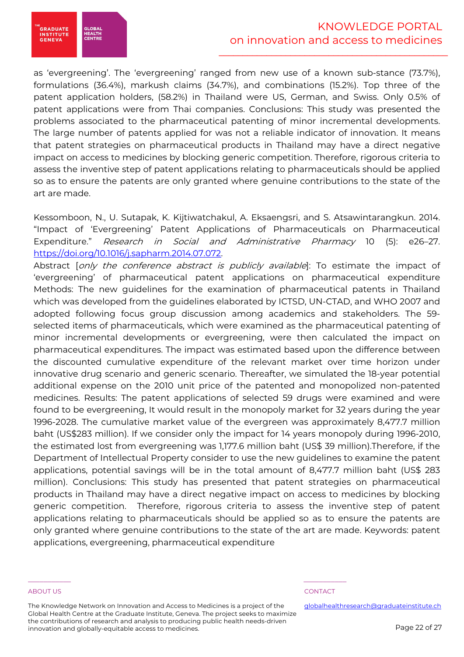

# KNOWLEDGE PORTAL on innovation and access to medicines

 $\mathcal{L}=\frac{1}{2} \sum_{i=1}^{n} \frac{1}{2} \sum_{i=1}^{n} \frac{1}{2} \sum_{i=1}^{n} \frac{1}{2} \sum_{i=1}^{n} \frac{1}{2} \sum_{i=1}^{n} \frac{1}{2} \sum_{i=1}^{n} \frac{1}{2} \sum_{i=1}^{n} \frac{1}{2} \sum_{i=1}^{n} \frac{1}{2} \sum_{i=1}^{n} \frac{1}{2} \sum_{i=1}^{n} \frac{1}{2} \sum_{i=1}^{n} \frac{1}{2} \sum_{i=1}^{n} \frac{1}{2} \sum_{$ 

as 'evergreening'. The 'evergreening' ranged from new use of a known sub-stance (73.7%), formulations (36.4%), markush claims (34.7%), and combinations (15.2%). Top three of the patent application holders, (58.2%) in Thailand were US, German, and Swiss. Only 0.5% of patent applications were from Thai companies. Conclusions: This study was presented the problems associated to the pharmaceutical patenting of minor incremental developments. The large number of patents applied for was not a reliable indicator of innovation. It means that patent strategies on pharmaceutical products in Thailand may have a direct negative impact on access to medicines by blocking generic competition. Therefore, rigorous criteria to assess the inventive step of patent applications relating to pharmaceuticals should be applied so as to ensure the patents are only granted where genuine contributions to the state of the art are made.

Kessomboon, N., U. Sutapak, K. Kijtiwatchakul, A. Eksaengsri, and S. Atsawintarangkun. 2014. "Impact of 'Evergreening' Patent Applications of Pharmaceuticals on Pharmaceutical Expenditure." Research in Social and Administrative Pharmacy 10 (5): e26–27. https://doi.org/10.1016/j.sapharm.2014.07.072.

Abstract [only the conference abstract is publicly available]: To estimate the impact of 'evergreening' of pharmaceutical patent applications on pharmaceutical expenditure Methods: The new guidelines for the examination of pharmaceutical patents in Thailand which was developed from the guidelines elaborated by ICTSD, UN-CTAD, and WHO 2007 and adopted following focus group discussion among academics and stakeholders. The 59 selected items of pharmaceuticals, which were examined as the pharmaceutical patenting of minor incremental developments or evergreening, were then calculated the impact on pharmaceutical expenditures. The impact was estimated based upon the difference between the discounted cumulative expenditure of the relevant market over time horizon under innovative drug scenario and generic scenario. Thereafter, we simulated the 18-year potential additional expense on the 2010 unit price of the patented and monopolized non-patented medicines. Results: The patent applications of selected 59 drugs were examined and were found to be evergreening, It would result in the monopoly market for 32 years during the year 1996-2028. The cumulative market value of the evergreen was approximately 8,477.7 million baht (US\$283 million). If we consider only the impact for 14 years monopoly during 1996-2010, the estimated lost from evergreening was 1,177.6 million baht (US\$ 39 million).Therefore, if the Department of Intellectual Property consider to use the new guidelines to examine the patent applications, potential savings will be in the total amount of 8,477.7 million baht (US\$ 283 million). Conclusions: This study has presented that patent strategies on pharmaceutical products in Thailand may have a direct negative impact on access to medicines by blocking generic competition. Therefore, rigorous criteria to assess the inventive step of patent applications relating to pharmaceuticals should be applied so as to ensure the patents are only granted where genuine contributions to the state of the art are made. Keywords: patent applications, evergreening, pharmaceutical expenditure

### ABOUT US ADOUT A RESERVE TO A RESERVE THE SERVE TO A RESERVE THE SERVE TO A RESERVE THE SERVE TO A RESERVE THE

The Knowledge Network on Innovation and Access to Medicines is a project of the Global Health Centre at the Graduate Institute, Geneva. The project seeks to maximize the contributions of research and analysis to producing public health needs-driven innovation and globally-equitable access to medicines.

\_\_\_\_\_\_\_\_\_\_\_ \_\_\_\_\_\_\_\_\_\_\_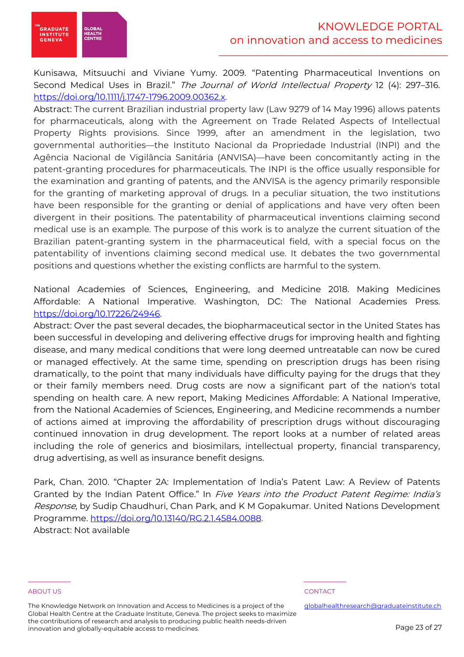

Kunisawa, Mitsuuchi and Viviane Yumy. 2009. "Patenting Pharmaceutical Inventions on Second Medical Uses in Brazil." The Journal of World Intellectual Property 12 (4): 297-316. https://doi.org/10.1111/j.1747-1796.2009.00362.x.

Abstract: The current Brazilian industrial property law (Law 9279 of 14 May 1996) allows patents for pharmaceuticals, along with the Agreement on Trade Related Aspects of Intellectual Property Rights provisions. Since 1999, after an amendment in the legislation, two governmental authorities—the Instituto Nacional da Propriedade Industrial (INPI) and the Agência Nacional de Vigilância Sanitária (ANVISA)—have been concomitantly acting in the patent‐granting procedures for pharmaceuticals. The INPI is the office usually responsible for the examination and granting of patents, and the ANVISA is the agency primarily responsible for the granting of marketing approval of drugs. In a peculiar situation, the two institutions have been responsible for the granting or denial of applications and have very often been divergent in their positions. The patentability of pharmaceutical inventions claiming second medical use is an example. The purpose of this work is to analyze the current situation of the Brazilian patent‐granting system in the pharmaceutical field, with a special focus on the patentability of inventions claiming second medical use. It debates the two governmental positions and questions whether the existing conflicts are harmful to the system.

National Academies of Sciences, Engineering, and Medicine 2018. Making Medicines Affordable: A National Imperative. Washington, DC: The National Academies Press. https://doi.org/10.17226/24946.

Abstract: Over the past several decades, the biopharmaceutical sector in the United States has been successful in developing and delivering effective drugs for improving health and fighting disease, and many medical conditions that were long deemed untreatable can now be cured or managed effectively. At the same time, spending on prescription drugs has been rising dramatically, to the point that many individuals have difficulty paying for the drugs that they or their family members need. Drug costs are now a significant part of the nation's total spending on health care. A new report, Making Medicines Affordable: A National Imperative, from the National Academies of Sciences, Engineering, and Medicine recommends a number of actions aimed at improving the affordability of prescription drugs without discouraging continued innovation in drug development. The report looks at a number of related areas including the role of generics and biosimilars, intellectual property, financial transparency, drug advertising, as well as insurance benefit designs.

Park, Chan. 2010. "Chapter 2A: Implementation of India's Patent Law: A Review of Patents Granted by the Indian Patent Office." In Five Years into the Product Patent Regime: India's Response, by Sudip Chaudhuri, Chan Park, and K M Gopakumar. United Nations Development Programme. https://doi.org/10.13140/RG.2.1.4584.0088. Abstract: Not available

### ABOUT US ADOUT A RESERVE TO A RESERVE THE SERVE TO A RESERVE THE SERVE TO A RESERVE THE SERVE TO A RESERVE THE

The Knowledge Network on Innovation and Access to Medicines is a project of the Global Health Centre at the Graduate Institute, Geneva. The project seeks to maximize the contributions of research and analysis to producing public health needs-driven innovation and globally-equitable access to medicines.

\_\_\_\_\_\_\_\_\_\_\_ \_\_\_\_\_\_\_\_\_\_\_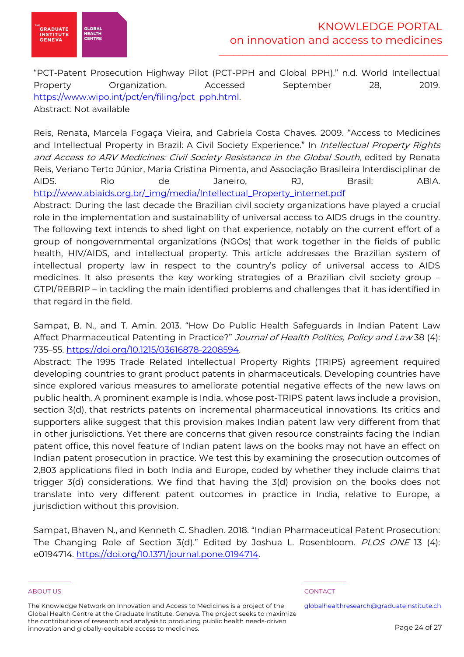

"PCT-Patent Prosecution Highway Pilot (PCT-PPH and Global PPH)." n.d. World Intellectual Property Organization. Accessed September 28, 2019. https://www.wipo.int/pct/en/filing/pct\_pph.html.

Abstract: Not available

Reis, Renata, Marcela Fogaça Vieira, and Gabriela Costa Chaves. 2009. "Access to Medicines and Intellectual Property in Brazil: A Civil Society Experience." In Intellectual Property Rights and Access to ARV Medicines: Civil Society Resistance in the Global South, edited by Renata Reis, Veriano Terto Júnior, Maria Cristina Pimenta, and Associação Brasileira Interdisciplinar de AIDS. Rio de Janeiro, RJ, Brasil: ABIA. http://www.abiaids.org.br/\_img/media/Intellectual\_Property\_internet.pdf

Abstract: During the last decade the Brazilian civil society organizations have played a crucial role in the implementation and sustainability of universal access to AIDS drugs in the country. The following text intends to shed light on that experience, notably on the current effort of a group of nongovernmental organizations (NGOs) that work together in the fields of public health, HIV/AIDS, and intellectual property. This article addresses the Brazilian system of intellectual property law in respect to the country's policy of universal access to AIDS medicines. It also presents the key working strategies of a Brazilian civil society group – GTPI/REBRIP – in tackling the main identified problems and challenges that it has identified in that regard in the field.

Sampat, B. N., and T. Amin. 2013. "How Do Public Health Safeguards in Indian Patent Law Affect Pharmaceutical Patenting in Practice?" Journal of Health Politics, Policy and Law 38 (4): 735–55. https://doi.org/10.1215/03616878-2208594.

Abstract: The 1995 Trade Related Intellectual Property Rights (TRIPS) agreement required developing countries to grant product patents in pharmaceuticals. Developing countries have since explored various measures to ameliorate potential negative effects of the new laws on public health. A prominent example is India, whose post-TRIPS patent laws include a provision, section 3(d), that restricts patents on incremental pharmaceutical innovations. Its critics and supporters alike suggest that this provision makes Indian patent law very different from that in other jurisdictions. Yet there are concerns that given resource constraints facing the Indian patent office, this novel feature of Indian patent laws on the books may not have an effect on Indian patent prosecution in practice. We test this by examining the prosecution outcomes of 2,803 applications filed in both India and Europe, coded by whether they include claims that trigger 3(d) considerations. We find that having the 3(d) provision on the books does not translate into very different patent outcomes in practice in India, relative to Europe, a jurisdiction without this provision.

Sampat, Bhaven N., and Kenneth C. Shadlen. 2018. "Indian Pharmaceutical Patent Prosecution: The Changing Role of Section 3(d)." Edited by Joshua L. Rosenbloom. PLOS ONE 13 (4): e0194714. https://doi.org/10.1371/journal.pone.0194714.

### ABOUT US ADOUT A RESERVE TO A RESERVE THE SERVE TO A RESERVE THE SERVE TO A RESERVE THE SERVE TO A RESERVE THE

The Knowledge Network on Innovation and Access to Medicines is a project of the Global Health Centre at the Graduate Institute, Geneva. The project seeks to maximize the contributions of research and analysis to producing public health needs-driven innovation and globally-equitable access to medicines.

\_\_\_\_\_\_\_\_\_\_\_ \_\_\_\_\_\_\_\_\_\_\_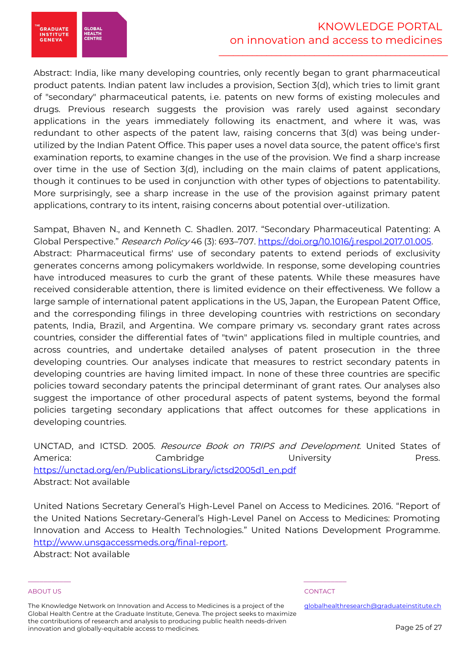Abstract: India, like many developing countries, only recently began to grant pharmaceutical product patents. Indian patent law includes a provision, Section 3(d), which tries to limit grant of "secondary" pharmaceutical patents, i.e. patents on new forms of existing molecules and drugs. Previous research suggests the provision was rarely used against secondary applications in the years immediately following its enactment, and where it was, was redundant to other aspects of the patent law, raising concerns that 3(d) was being underutilized by the Indian Patent Office. This paper uses a novel data source, the patent office's first examination reports, to examine changes in the use of the provision. We find a sharp increase over time in the use of Section 3(d), including on the main claims of patent applications, though it continues to be used in conjunction with other types of objections to patentability. More surprisingly, see a sharp increase in the use of the provision against primary patent applications, contrary to its intent, raising concerns about potential over-utilization.

Sampat, Bhaven N., and Kenneth C. Shadlen. 2017. "Secondary Pharmaceutical Patenting: A Global Perspective." Research Policy 46 (3): 693-707. https://doi.org/10.1016/j.respol.2017.01.005. Abstract: Pharmaceutical firms' use of secondary patents to extend periods of exclusivity generates concerns among policymakers worldwide. In response, some developing countries have introduced measures to curb the grant of these patents. While these measures have received considerable attention, there is limited evidence on their effectiveness. We follow a large sample of international patent applications in the US, Japan, the European Patent Office, and the corresponding filings in three developing countries with restrictions on secondary patents, India, Brazil, and Argentina. We compare primary vs. secondary grant rates across countries, consider the differential fates of "twin" applications filed in multiple countries, and across countries, and undertake detailed analyses of patent prosecution in the three developing countries. Our analyses indicate that measures to restrict secondary patents in developing countries are having limited impact. In none of these three countries are specific policies toward secondary patents the principal determinant of grant rates. Our analyses also suggest the importance of other procedural aspects of patent systems, beyond the formal policies targeting secondary applications that affect outcomes for these applications in developing countries.

UNCTAD, and ICTSD. 2005. Resource Book on TRIPS and Development. United States of America: Cambridge University Press. https://unctad.org/en/PublicationsLibrary/ictsd2005d1\_en.pdf Abstract: Not available

United Nations Secretary General's High-Level Panel on Access to Medicines. 2016. "Report of the United Nations Secretary-General's High-Level Panel on Access to Medicines: Promoting Innovation and Access to Health Technologies." United Nations Development Programme. http://www.unsgaccessmeds.org/final-report.

Abstract: Not available

### ABOUT US ADOUT A RESERVE TO A RESERVE THE SERVE TO A RESERVE THE SERVE TO A RESERVE THE SERVE TO A RESERVE THE

**GRADUATE** 

**INSTITUTE**<br>GENEVA

GLOBAI<br>HEALT<mark>H</mark>

The Knowledge Network on Innovation and Access to Medicines is a project of the Global Health Centre at the Graduate Institute, Geneva. The project seeks to maximize the contributions of research and analysis to producing public health needs-driven innovation and globally-equitable access to medicines.

\_\_\_\_\_\_\_\_\_\_\_ \_\_\_\_\_\_\_\_\_\_\_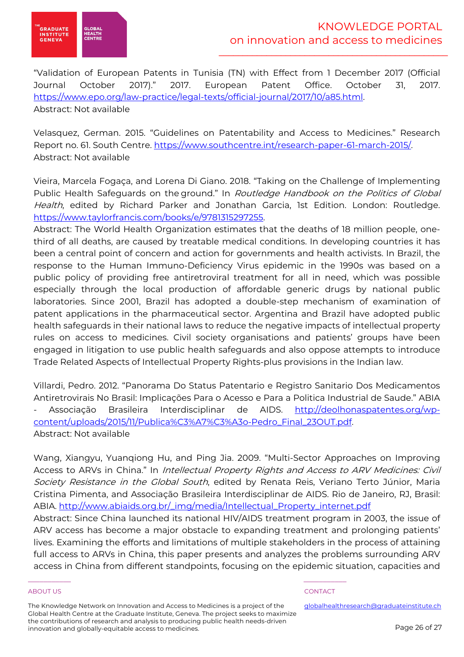

"Validation of European Patents in Tunisia (TN) with Effect from 1 December 2017 (Official Journal October 2017)." 2017. European Patent Office. October 31, 2017. https://www.epo.org/law-practice/legal-texts/official-journal/2017/10/a85.html. Abstract: Not available

Velasquez, German. 2015. "Guidelines on Patentability and Access to Medicines." Research Report no. 61. South Centre. https://www.southcentre.int/research-paper-61-march-2015/. Abstract: Not available

Vieira, Marcela Fogaça, and Lorena Di Giano. 2018. "Taking on the Challenge of Implementing Public Health Safeguards on the ground." In Routledge Handbook on the Politics of Global Health, edited by Richard Parker and Jonathan Garcia, 1st Edition. London: Routledge. https://www.taylorfrancis.com/books/e/9781315297255.

Abstract: The World Health Organization estimates that the deaths of 18 million people, onethird of all deaths, are caused by treatable medical conditions. In developing countries it has been a central point of concern and action for governments and health activists. In Brazil, the response to the Human Immuno-Deficiency Virus epidemic in the 1990s was based on a public policy of providing free antiretroviral treatment for all in need, which was possible especially through the local production of affordable generic drugs by national public laboratories. Since 2001, Brazil has adopted a double-step mechanism of examination of patent applications in the pharmaceutical sector. Argentina and Brazil have adopted public health safeguards in their national laws to reduce the negative impacts of intellectual property rules on access to medicines. Civil society organisations and patients' groups have been engaged in litigation to use public health safeguards and also oppose attempts to introduce Trade Related Aspects of Intellectual Property Rights-plus provisions in the Indian law.

Villardi, Pedro. 2012. "Panorama Do Status Patentario e Registro Sanitario Dos Medicamentos Antiretrovirais No Brasil: Implicações Para o Acesso e Para a Politica Industrial de Saude." ABIA - Associação Brasileira Interdisciplinar de AIDS. http://deolhonaspatentes.org/wpcontent/uploads/2015/11/Publica%C3%A7%C3%A3o-Pedro\_Final\_23OUT.pdf. Abstract: Not available

Wang, Xiangyu, Yuanqiong Hu, and Ping Jia. 2009. "Multi-Sector Approaches on Improving Access to ARVs in China." In Intellectual Property Rights and Access to ARV Medicines: Civil Society Resistance in the Global South, edited by Renata Reis, Veriano Terto Júnior, Maria Cristina Pimenta, and Associação Brasileira Interdisciplinar de AIDS. Rio de Janeiro, RJ, Brasil: ABIA. http://www.abiaids.org.br/\_img/media/Intellectual\_Property\_internet.pdf

Abstract: Since China launched its national HIV/AIDS treatment program in 2003, the issue of ARV access has become a major obstacle to expanding treatment and prolonging patients' lives. Examining the efforts and limitations of multiple stakeholders in the process of attaining full access to ARVs in China, this paper presents and analyzes the problems surrounding ARV access in China from different standpoints, focusing on the epidemic situation, capacities and

### ABOUT US ACCORDING TO A RESIDENCE ON THE SERVICE OF THE SERVICE OF THE SERVICE OF THE SERVICE OF THE SERVICE OF THE SERVICE OF THE SERVICE OF THE SERVICE OF THE SERVICE OF THE SERVICE OF THE SERVICE OF THE SERVICE OF THE S

The Knowledge Network on Innovation and Access to Medicines is a project of the Global Health Centre at the Graduate Institute, Geneva. The project seeks to maximize the contributions of research and analysis to producing public health needs-driven innovation and globally-equitable access to medicines.

\_\_\_\_\_\_\_\_\_\_\_ \_\_\_\_\_\_\_\_\_\_\_